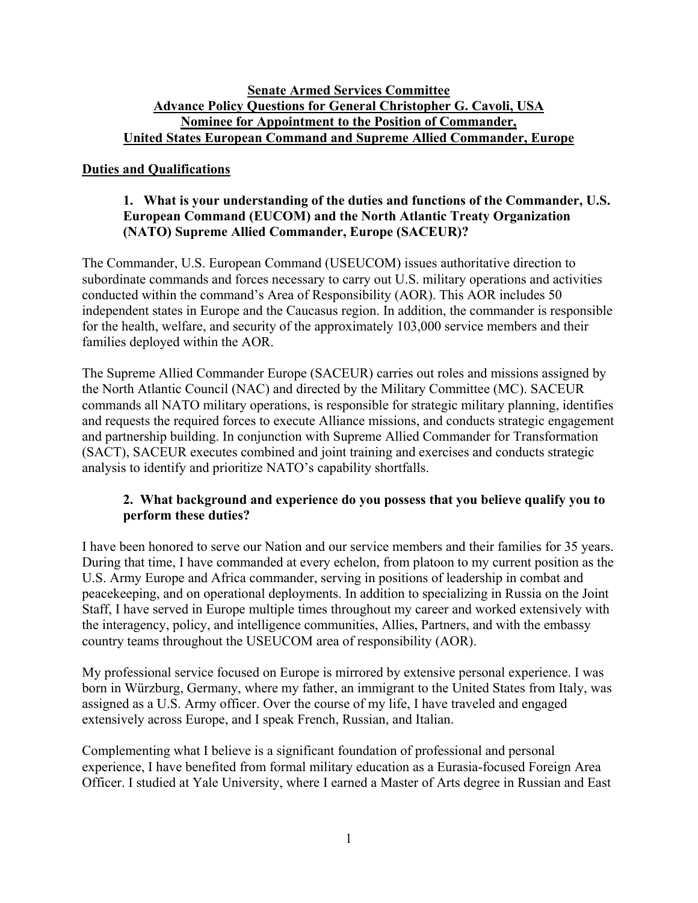### **Senate Armed Services Committee Advance Policy Questions for General Christopher G. Cavoli, USA Nominee for Appointment to the Position of Commander, United States European Command and Supreme Allied Commander, Europe**

### **Duties and Qualifications**

# **1. What is your understanding of the duties and functions of the Commander, U.S. European Command (EUCOM) and the North Atlantic Treaty Organization (NATO) Supreme Allied Commander, Europe (SACEUR)?**

The Commander, U.S. European Command (USEUCOM) issues authoritative direction to subordinate commands and forces necessary to carry out U.S. military operations and activities conducted within the command's Area of Responsibility (AOR). This AOR includes 50 independent states in Europe and the Caucasus region. In addition, the commander is responsible for the health, welfare, and security of the approximately 103,000 service members and their families deployed within the AOR.

The Supreme Allied Commander Europe (SACEUR) carries out roles and missions assigned by the North Atlantic Council (NAC) and directed by the Military Committee (MC). SACEUR commands all NATO military operations, is responsible for strategic military planning, identifies and requests the required forces to execute Alliance missions, and conducts strategic engagement and partnership building. In conjunction with Supreme Allied Commander for Transformation (SACT), SACEUR executes combined and joint training and exercises and conducts strategic analysis to identify and prioritize NATO's capability shortfalls.

# **2. What background and experience do you possess that you believe qualify you to perform these duties?**

I have been honored to serve our Nation and our service members and their families for 35 years. During that time, I have commanded at every echelon, from platoon to my current position as the U.S. Army Europe and Africa commander, serving in positions of leadership in combat and peacekeeping, and on operational deployments. In addition to specializing in Russia on the Joint Staff, I have served in Europe multiple times throughout my career and worked extensively with the interagency, policy, and intelligence communities, Allies, Partners, and with the embassy country teams throughout the USEUCOM area of responsibility (AOR).

My professional service focused on Europe is mirrored by extensive personal experience. I was born in Würzburg, Germany, where my father, an immigrant to the United States from Italy, was assigned as a U.S. Army officer. Over the course of my life, I have traveled and engaged extensively across Europe, and I speak French, Russian, and Italian.

Complementing what I believe is a significant foundation of professional and personal experience, I have benefited from formal military education as a Eurasia-focused Foreign Area Officer. I studied at Yale University, where I earned a Master of Arts degree in Russian and East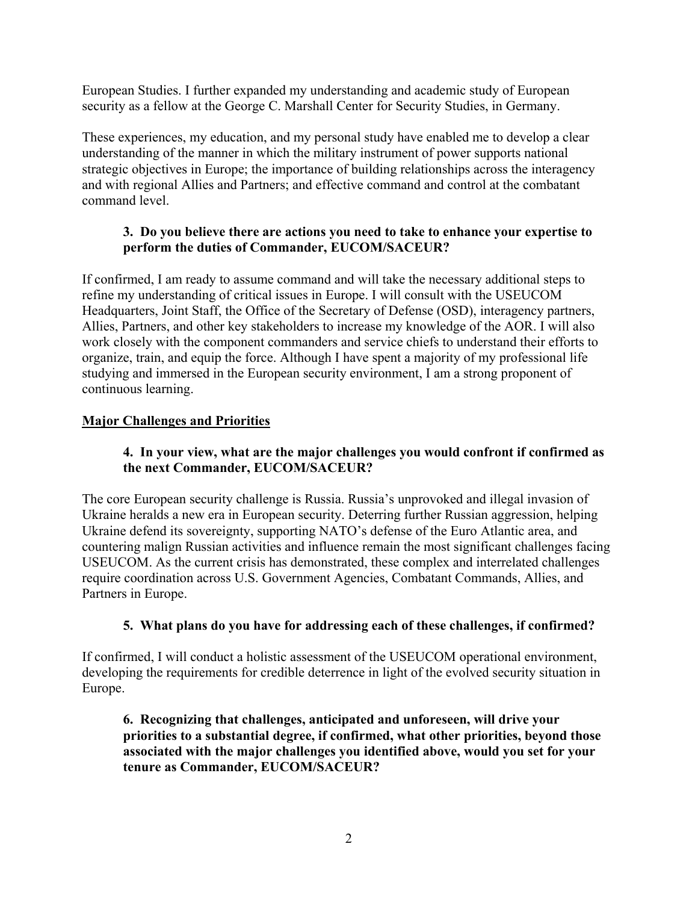European Studies. I further expanded my understanding and academic study of European security as a fellow at the George C. Marshall Center for Security Studies, in Germany.

These experiences, my education, and my personal study have enabled me to develop a clear understanding of the manner in which the military instrument of power supports national strategic objectives in Europe; the importance of building relationships across the interagency and with regional Allies and Partners; and effective command and control at the combatant command level.

# **3. Do you believe there are actions you need to take to enhance your expertise to perform the duties of Commander, EUCOM/SACEUR?**

If confirmed, I am ready to assume command and will take the necessary additional steps to refine my understanding of critical issues in Europe. I will consult with the USEUCOM Headquarters, Joint Staff, the Office of the Secretary of Defense (OSD), interagency partners, Allies, Partners, and other key stakeholders to increase my knowledge of the AOR. I will also work closely with the component commanders and service chiefs to understand their efforts to organize, train, and equip the force. Although I have spent a majority of my professional life studying and immersed in the European security environment, I am a strong proponent of continuous learning.

#### **Major Challenges and Priorities**

# **4. In your view, what are the major challenges you would confront if confirmed as the next Commander, EUCOM/SACEUR?**

The core European security challenge is Russia. Russia's unprovoked and illegal invasion of Ukraine heralds a new era in European security. Deterring further Russian aggression, helping Ukraine defend its sovereignty, supporting NATO's defense of the Euro Atlantic area, and countering malign Russian activities and influence remain the most significant challenges facing USEUCOM. As the current crisis has demonstrated, these complex and interrelated challenges require coordination across U.S. Government Agencies, Combatant Commands, Allies, and Partners in Europe.

# **5. What plans do you have for addressing each of these challenges, if confirmed?**

If confirmed, I will conduct a holistic assessment of the USEUCOM operational environment, developing the requirements for credible deterrence in light of the evolved security situation in Europe.

**6. Recognizing that challenges, anticipated and unforeseen, will drive your priorities to a substantial degree, if confirmed, what other priorities, beyond those associated with the major challenges you identified above, would you set for your tenure as Commander, EUCOM/SACEUR?**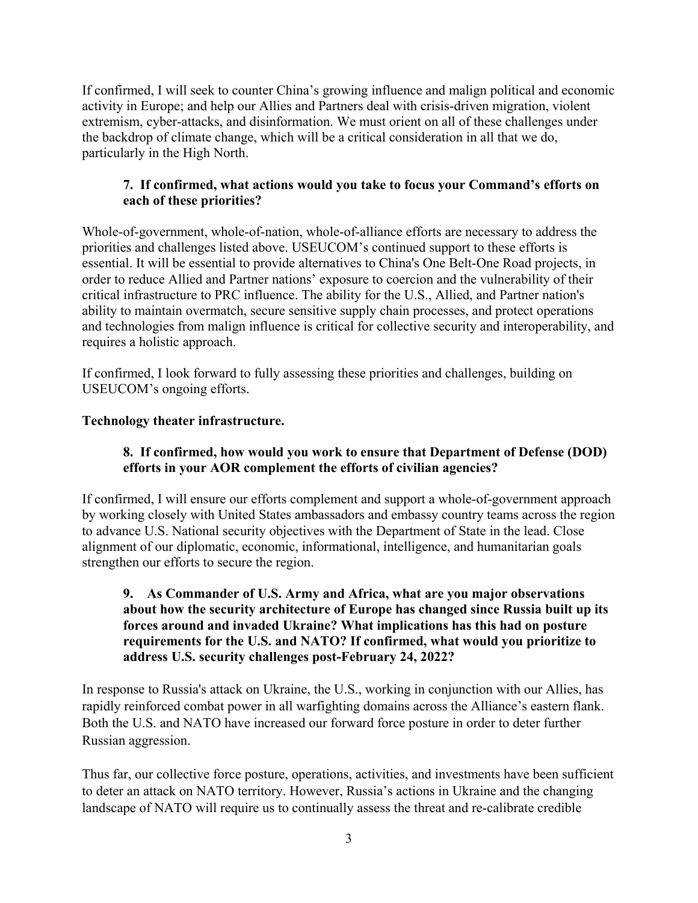If confirmed, I will seek to counter China's growing influence and malign political and economic activity in Europe; and help our Allies and Partners deal with crisis-driven migration, violent extremism, cyber-attacks, and disinformation. We must orient on all of these challenges under the backdrop of climate change, which will be a critical consideration in all that we do, particularly in the High North.

# **7. If confirmed, what actions would you take to focus your Command's efforts on each of these priorities?**

Whole-of-government, whole-of-nation, whole-of-alliance efforts are necessary to address the priorities and challenges listed above. USEUCOM's continued support to these efforts is essential. It will be essential to provide alternatives to China's One Belt-One Road projects, in order to reduce Allied and Partner nations' exposure to coercion and the vulnerability of their critical infrastructure to PRC influence. The ability for the U.S., Allied, and Partner nation's ability to maintain overmatch, secure sensitive supply chain processes, and protect operations and technologies from malign influence is critical for collective security and interoperability, and requires a holistic approach.

If confirmed, I look forward to fully assessing these priorities and challenges, building on USEUCOM's ongoing efforts.

# **Technology theater infrastructure.**

# **8. If confirmed, how would you work to ensure that Department of Defense (DOD) efforts in your AOR complement the efforts of civilian agencies?**

If confirmed, I will ensure our efforts complement and support a whole-of-government approach by working closely with United States ambassadors and embassy country teams across the region to advance U.S. National security objectives with the Department of State in the lead. Close alignment of our diplomatic, economic, informational, intelligence, and humanitarian goals strengthen our efforts to secure the region.

### **9. As Commander of U.S. Army and Africa, what are you major observations about how the security architecture of Europe has changed since Russia built up its forces around and invaded Ukraine? What implications has this had on posture requirements for the U.S. and NATO? If confirmed, what would you prioritize to address U.S. security challenges post-February 24, 2022?**

In response to Russia's attack on Ukraine, the U.S., working in conjunction with our Allies, has rapidly reinforced combat power in all warfighting domains across the Alliance's eastern flank. Both the U.S. and NATO have increased our forward force posture in order to deter further Russian aggression.

Thus far, our collective force posture, operations, activities, and investments have been sufficient to deter an attack on NATO territory. However, Russia's actions in Ukraine and the changing landscape of NATO will require us to continually assess the threat and re-calibrate credible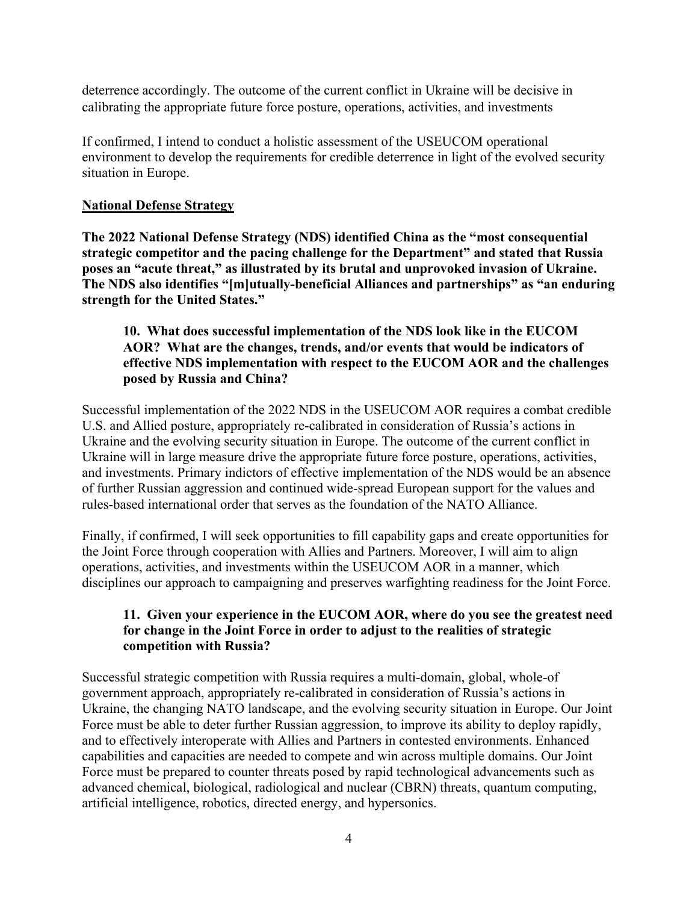deterrence accordingly. The outcome of the current conflict in Ukraine will be decisive in calibrating the appropriate future force posture, operations, activities, and investments

If confirmed, I intend to conduct a holistic assessment of the USEUCOM operational environment to develop the requirements for credible deterrence in light of the evolved security situation in Europe.

# **National Defense Strategy**

**The 2022 National Defense Strategy (NDS) identified China as the "most consequential strategic competitor and the pacing challenge for the Department" and stated that Russia poses an "acute threat," as illustrated by its brutal and unprovoked invasion of Ukraine. The NDS also identifies "[m]utually-beneficial Alliances and partnerships" as "an enduring strength for the United States."** 

# **10. What does successful implementation of the NDS look like in the EUCOM AOR? What are the changes, trends, and/or events that would be indicators of effective NDS implementation with respect to the EUCOM AOR and the challenges posed by Russia and China?**

Successful implementation of the 2022 NDS in the USEUCOM AOR requires a combat credible U.S. and Allied posture, appropriately re-calibrated in consideration of Russia's actions in Ukraine and the evolving security situation in Europe. The outcome of the current conflict in Ukraine will in large measure drive the appropriate future force posture, operations, activities, and investments. Primary indictors of effective implementation of the NDS would be an absence of further Russian aggression and continued wide-spread European support for the values and rules-based international order that serves as the foundation of the NATO Alliance.

Finally, if confirmed, I will seek opportunities to fill capability gaps and create opportunities for the Joint Force through cooperation with Allies and Partners. Moreover, I will aim to align operations, activities, and investments within the USEUCOM AOR in a manner, which disciplines our approach to campaigning and preserves warfighting readiness for the Joint Force.

# **11. Given your experience in the EUCOM AOR, where do you see the greatest need for change in the Joint Force in order to adjust to the realities of strategic competition with Russia?**

Successful strategic competition with Russia requires a multi-domain, global, whole-of government approach, appropriately re-calibrated in consideration of Russia's actions in Ukraine, the changing NATO landscape, and the evolving security situation in Europe. Our Joint Force must be able to deter further Russian aggression, to improve its ability to deploy rapidly, and to effectively interoperate with Allies and Partners in contested environments. Enhanced capabilities and capacities are needed to compete and win across multiple domains. Our Joint Force must be prepared to counter threats posed by rapid technological advancements such as advanced chemical, biological, radiological and nuclear (CBRN) threats, quantum computing, artificial intelligence, robotics, directed energy, and hypersonics.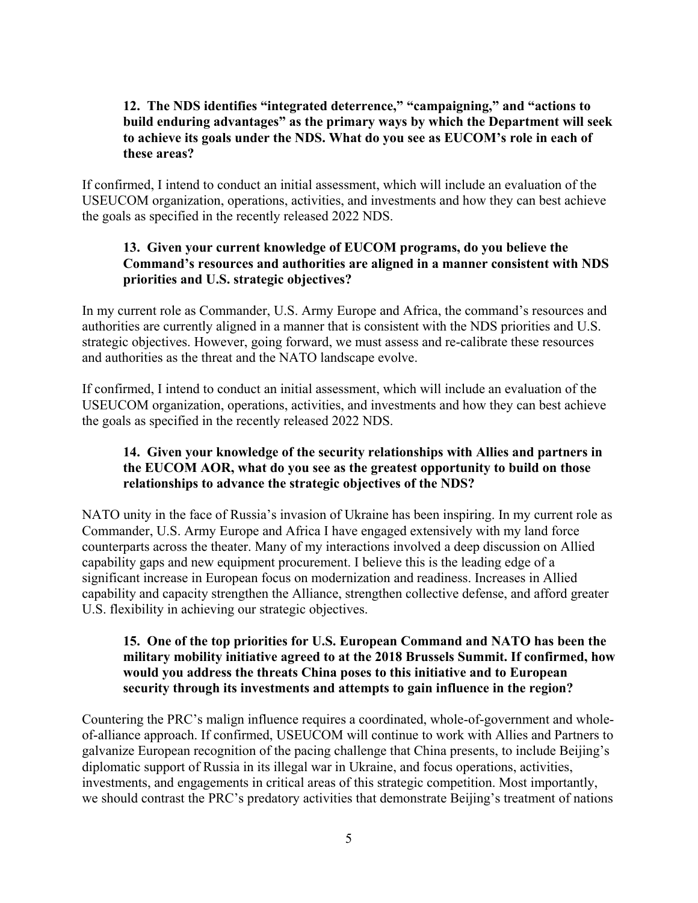# **12. The NDS identifies "integrated deterrence," "campaigning," and "actions to build enduring advantages" as the primary ways by which the Department will seek to achieve its goals under the NDS. What do you see as EUCOM's role in each of these areas?**

If confirmed, I intend to conduct an initial assessment, which will include an evaluation of the USEUCOM organization, operations, activities, and investments and how they can best achieve the goals as specified in the recently released 2022 NDS.

# **13. Given your current knowledge of EUCOM programs, do you believe the Command's resources and authorities are aligned in a manner consistent with NDS priorities and U.S. strategic objectives?**

In my current role as Commander, U.S. Army Europe and Africa, the command's resources and authorities are currently aligned in a manner that is consistent with the NDS priorities and U.S. strategic objectives. However, going forward, we must assess and re-calibrate these resources and authorities as the threat and the NATO landscape evolve.

If confirmed, I intend to conduct an initial assessment, which will include an evaluation of the USEUCOM organization, operations, activities, and investments and how they can best achieve the goals as specified in the recently released 2022 NDS.

# **14. Given your knowledge of the security relationships with Allies and partners in the EUCOM AOR, what do you see as the greatest opportunity to build on those relationships to advance the strategic objectives of the NDS?**

NATO unity in the face of Russia's invasion of Ukraine has been inspiring. In my current role as Commander, U.S. Army Europe and Africa I have engaged extensively with my land force counterparts across the theater. Many of my interactions involved a deep discussion on Allied capability gaps and new equipment procurement. I believe this is the leading edge of a significant increase in European focus on modernization and readiness. Increases in Allied capability and capacity strengthen the Alliance, strengthen collective defense, and afford greater U.S. flexibility in achieving our strategic objectives.

#### **15. One of the top priorities for U.S. European Command and NATO has been the military mobility initiative agreed to at the 2018 Brussels Summit. If confirmed, how would you address the threats China poses to this initiative and to European security through its investments and attempts to gain influence in the region?**

Countering the PRC's malign influence requires a coordinated, whole-of-government and wholeof-alliance approach. If confirmed, USEUCOM will continue to work with Allies and Partners to galvanize European recognition of the pacing challenge that China presents, to include Beijing's diplomatic support of Russia in its illegal war in Ukraine, and focus operations, activities, investments, and engagements in critical areas of this strategic competition. Most importantly, we should contrast the PRC's predatory activities that demonstrate Beijing's treatment of nations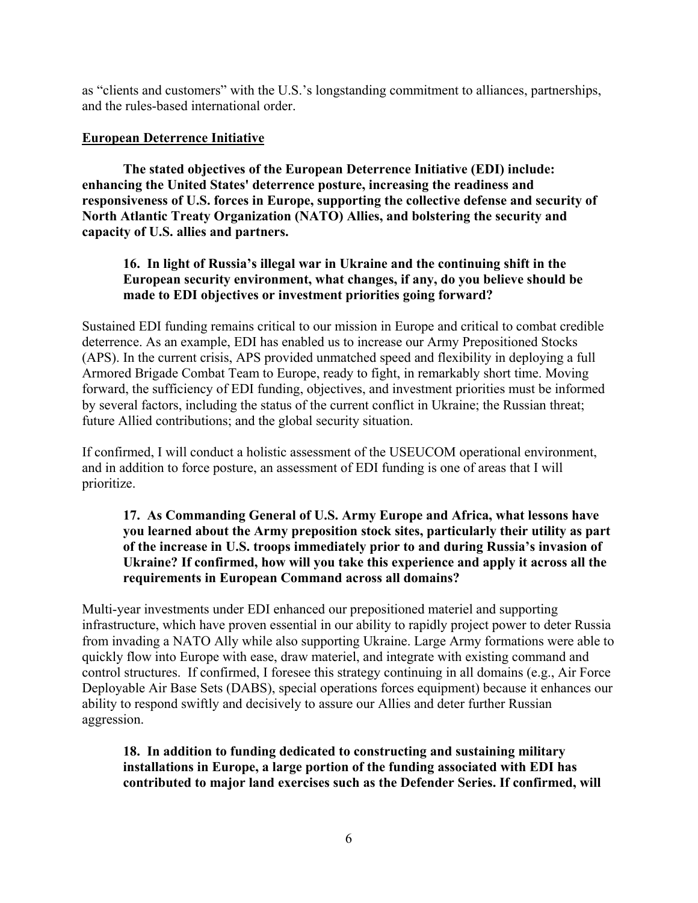as "clients and customers" with the U.S.'s longstanding commitment to alliances, partnerships, and the rules-based international order.

### **European Deterrence Initiative**

**The stated objectives of the European Deterrence Initiative (EDI) include: enhancing the United States' deterrence posture, increasing the readiness and responsiveness of U.S. forces in Europe, supporting the collective defense and security of North Atlantic Treaty Organization (NATO) Allies, and bolstering the security and capacity of U.S. allies and partners.**

# **16. In light of Russia's illegal war in Ukraine and the continuing shift in the European security environment, what changes, if any, do you believe should be made to EDI objectives or investment priorities going forward?**

Sustained EDI funding remains critical to our mission in Europe and critical to combat credible deterrence. As an example, EDI has enabled us to increase our Army Prepositioned Stocks (APS). In the current crisis, APS provided unmatched speed and flexibility in deploying a full Armored Brigade Combat Team to Europe, ready to fight, in remarkably short time. Moving forward, the sufficiency of EDI funding, objectives, and investment priorities must be informed by several factors, including the status of the current conflict in Ukraine; the Russian threat; future Allied contributions; and the global security situation.

If confirmed, I will conduct a holistic assessment of the USEUCOM operational environment, and in addition to force posture, an assessment of EDI funding is one of areas that I will prioritize.

#### **17. As Commanding General of U.S. Army Europe and Africa, what lessons have you learned about the Army preposition stock sites, particularly their utility as part of the increase in U.S. troops immediately prior to and during Russia's invasion of Ukraine? If confirmed, how will you take this experience and apply it across all the requirements in European Command across all domains?**

Multi-year investments under EDI enhanced our prepositioned materiel and supporting infrastructure, which have proven essential in our ability to rapidly project power to deter Russia from invading a NATO Ally while also supporting Ukraine. Large Army formations were able to quickly flow into Europe with ease, draw materiel, and integrate with existing command and control structures. If confirmed, I foresee this strategy continuing in all domains (e.g., Air Force Deployable Air Base Sets (DABS), special operations forces equipment) because it enhances our ability to respond swiftly and decisively to assure our Allies and deter further Russian aggression.

**18. In addition to funding dedicated to constructing and sustaining military installations in Europe, a large portion of the funding associated with EDI has contributed to major land exercises such as the Defender Series. If confirmed, will**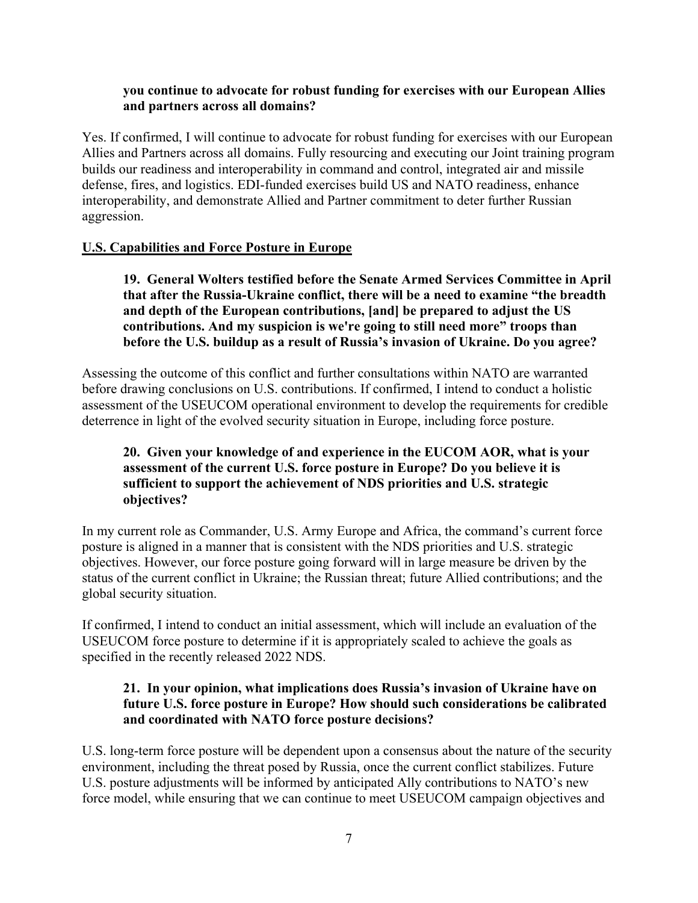#### **you continue to advocate for robust funding for exercises with our European Allies and partners across all domains?**

Yes. If confirmed, I will continue to advocate for robust funding for exercises with our European Allies and Partners across all domains. Fully resourcing and executing our Joint training program builds our readiness and interoperability in command and control, integrated air and missile defense, fires, and logistics. EDI-funded exercises build US and NATO readiness, enhance interoperability, and demonstrate Allied and Partner commitment to deter further Russian aggression.

# **U.S. Capabilities and Force Posture in Europe**

**19. General Wolters testified before the Senate Armed Services Committee in April that after the Russia-Ukraine conflict, there will be a need to examine "the breadth and depth of the European contributions, [and] be prepared to adjust the US contributions. And my suspicion is we're going to still need more" troops than before the U.S. buildup as a result of Russia's invasion of Ukraine. Do you agree?**

Assessing the outcome of this conflict and further consultations within NATO are warranted before drawing conclusions on U.S. contributions. If confirmed, I intend to conduct a holistic assessment of the USEUCOM operational environment to develop the requirements for credible deterrence in light of the evolved security situation in Europe, including force posture.

# **20. Given your knowledge of and experience in the EUCOM AOR, what is your assessment of the current U.S. force posture in Europe? Do you believe it is sufficient to support the achievement of NDS priorities and U.S. strategic objectives?**

In my current role as Commander, U.S. Army Europe and Africa, the command's current force posture is aligned in a manner that is consistent with the NDS priorities and U.S. strategic objectives. However, our force posture going forward will in large measure be driven by the status of the current conflict in Ukraine; the Russian threat; future Allied contributions; and the global security situation.

If confirmed, I intend to conduct an initial assessment, which will include an evaluation of the USEUCOM force posture to determine if it is appropriately scaled to achieve the goals as specified in the recently released 2022 NDS.

### **21. In your opinion, what implications does Russia's invasion of Ukraine have on future U.S. force posture in Europe? How should such considerations be calibrated and coordinated with NATO force posture decisions?**

U.S. long-term force posture will be dependent upon a consensus about the nature of the security environment, including the threat posed by Russia, once the current conflict stabilizes. Future U.S. posture adjustments will be informed by anticipated Ally contributions to NATO's new force model, while ensuring that we can continue to meet USEUCOM campaign objectives and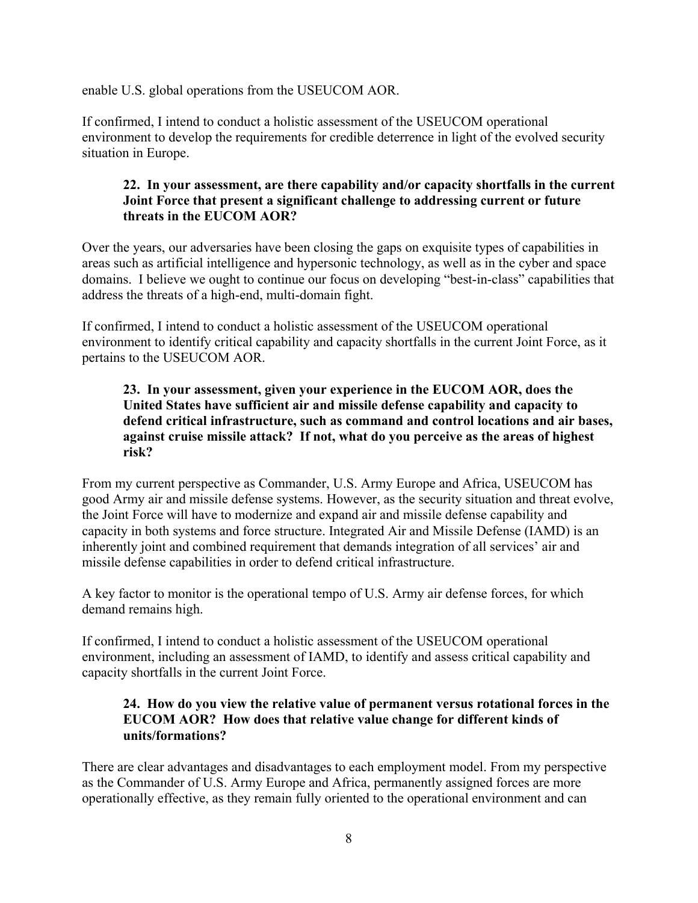enable U.S. global operations from the USEUCOM AOR.

If confirmed, I intend to conduct a holistic assessment of the USEUCOM operational environment to develop the requirements for credible deterrence in light of the evolved security situation in Europe.

# **22. In your assessment, are there capability and/or capacity shortfalls in the current Joint Force that present a significant challenge to addressing current or future threats in the EUCOM AOR?**

Over the years, our adversaries have been closing the gaps on exquisite types of capabilities in areas such as artificial intelligence and hypersonic technology, as well as in the cyber and space domains. I believe we ought to continue our focus on developing "best-in-class" capabilities that address the threats of a high-end, multi-domain fight.

If confirmed, I intend to conduct a holistic assessment of the USEUCOM operational environment to identify critical capability and capacity shortfalls in the current Joint Force, as it pertains to the USEUCOM AOR.

# **23. In your assessment, given your experience in the EUCOM AOR, does the United States have sufficient air and missile defense capability and capacity to defend critical infrastructure, such as command and control locations and air bases, against cruise missile attack? If not, what do you perceive as the areas of highest risk?**

From my current perspective as Commander, U.S. Army Europe and Africa, USEUCOM has good Army air and missile defense systems. However, as the security situation and threat evolve, the Joint Force will have to modernize and expand air and missile defense capability and capacity in both systems and force structure. Integrated Air and Missile Defense (IAMD) is an inherently joint and combined requirement that demands integration of all services' air and missile defense capabilities in order to defend critical infrastructure.

A key factor to monitor is the operational tempo of U.S. Army air defense forces, for which demand remains high.

If confirmed, I intend to conduct a holistic assessment of the USEUCOM operational environment, including an assessment of IAMD, to identify and assess critical capability and capacity shortfalls in the current Joint Force.

# **24. How do you view the relative value of permanent versus rotational forces in the EUCOM AOR? How does that relative value change for different kinds of units/formations?**

There are clear advantages and disadvantages to each employment model. From my perspective as the Commander of U.S. Army Europe and Africa, permanently assigned forces are more operationally effective, as they remain fully oriented to the operational environment and can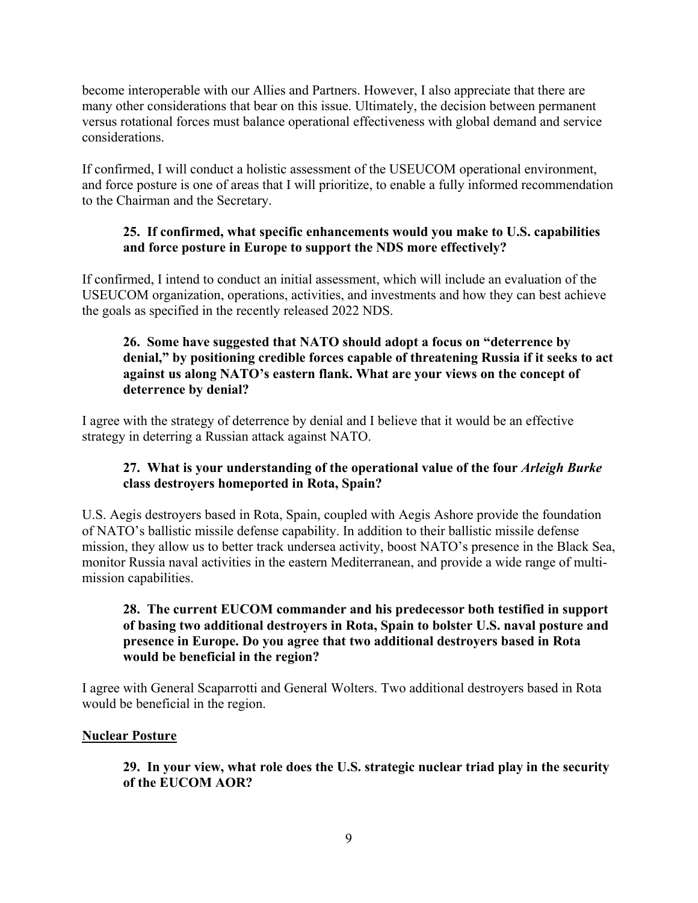become interoperable with our Allies and Partners. However, I also appreciate that there are many other considerations that bear on this issue. Ultimately, the decision between permanent versus rotational forces must balance operational effectiveness with global demand and service considerations.

If confirmed, I will conduct a holistic assessment of the USEUCOM operational environment, and force posture is one of areas that I will prioritize, to enable a fully informed recommendation to the Chairman and the Secretary.

# **25. If confirmed, what specific enhancements would you make to U.S. capabilities and force posture in Europe to support the NDS more effectively?**

If confirmed, I intend to conduct an initial assessment, which will include an evaluation of the USEUCOM organization, operations, activities, and investments and how they can best achieve the goals as specified in the recently released 2022 NDS.

# **26. Some have suggested that NATO should adopt a focus on "deterrence by denial," by positioning credible forces capable of threatening Russia if it seeks to act against us along NATO's eastern flank. What are your views on the concept of deterrence by denial?**

I agree with the strategy of deterrence by denial and I believe that it would be an effective strategy in deterring a Russian attack against NATO.

# **27. What is your understanding of the operational value of the four** *Arleigh Burke*  **class destroyers homeported in Rota, Spain?**

U.S. Aegis destroyers based in Rota, Spain, coupled with Aegis Ashore provide the foundation of NATO's ballistic missile defense capability. In addition to their ballistic missile defense mission, they allow us to better track undersea activity, boost NATO's presence in the Black Sea, monitor Russia naval activities in the eastern Mediterranean, and provide a wide range of multimission capabilities.

# **28. The current EUCOM commander and his predecessor both testified in support of basing two additional destroyers in Rota, Spain to bolster U.S. naval posture and presence in Europe. Do you agree that two additional destroyers based in Rota would be beneficial in the region?**

I agree with General Scaparrotti and General Wolters. Two additional destroyers based in Rota would be beneficial in the region.

# **Nuclear Posture**

**29. In your view, what role does the U.S. strategic nuclear triad play in the security of the EUCOM AOR?**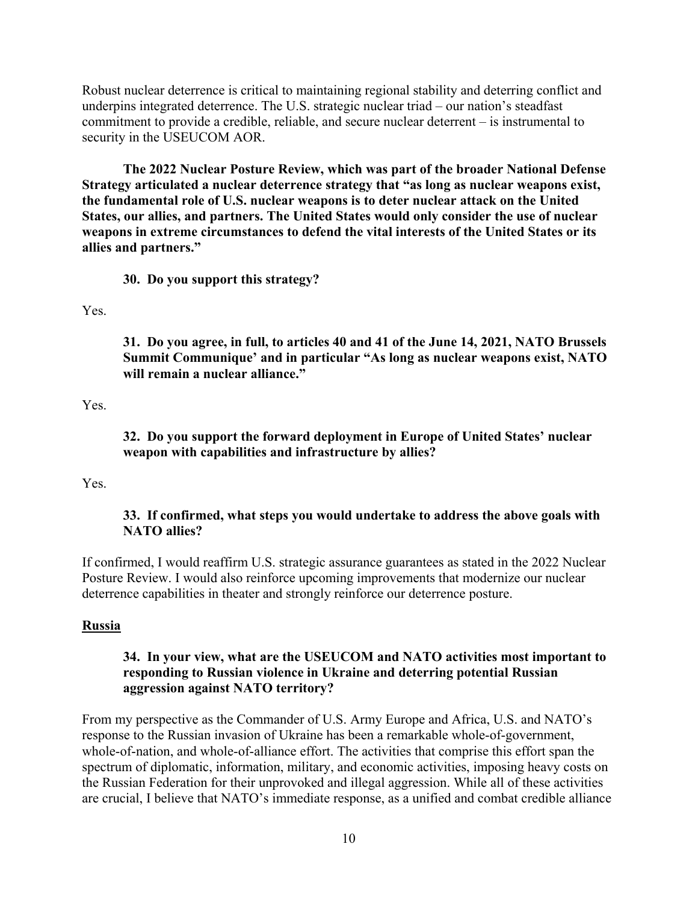Robust nuclear deterrence is critical to maintaining regional stability and deterring conflict and underpins integrated deterrence. The U.S. strategic nuclear triad – our nation's steadfast commitment to provide a credible, reliable, and secure nuclear deterrent – is instrumental to security in the USEUCOM AOR.

**The 2022 Nuclear Posture Review, which was part of the broader National Defense Strategy articulated a nuclear deterrence strategy that "as long as nuclear weapons exist, the fundamental role of U.S. nuclear weapons is to deter nuclear attack on the United States, our allies, and partners. The United States would only consider the use of nuclear weapons in extreme circumstances to defend the vital interests of the United States or its allies and partners."**

**30. Do you support this strategy?**

Yes.

**31. Do you agree, in full, to articles 40 and 41 of the June 14, 2021, NATO Brussels Summit Communique' and in particular "As long as nuclear weapons exist, NATO will remain a nuclear alliance."**

Yes.

**32. Do you support the forward deployment in Europe of United States' nuclear weapon with capabilities and infrastructure by allies?**

Yes.

#### **33. If confirmed, what steps you would undertake to address the above goals with NATO allies?**

If confirmed, I would reaffirm U.S. strategic assurance guarantees as stated in the 2022 Nuclear Posture Review. I would also reinforce upcoming improvements that modernize our nuclear deterrence capabilities in theater and strongly reinforce our deterrence posture.

#### **Russia**

### **34. In your view, what are the USEUCOM and NATO activities most important to responding to Russian violence in Ukraine and deterring potential Russian aggression against NATO territory?**

From my perspective as the Commander of U.S. Army Europe and Africa, U.S. and NATO's response to the Russian invasion of Ukraine has been a remarkable whole-of-government, whole-of-nation, and whole-of-alliance effort. The activities that comprise this effort span the spectrum of diplomatic, information, military, and economic activities, imposing heavy costs on the Russian Federation for their unprovoked and illegal aggression. While all of these activities are crucial, I believe that NATO's immediate response, as a unified and combat credible alliance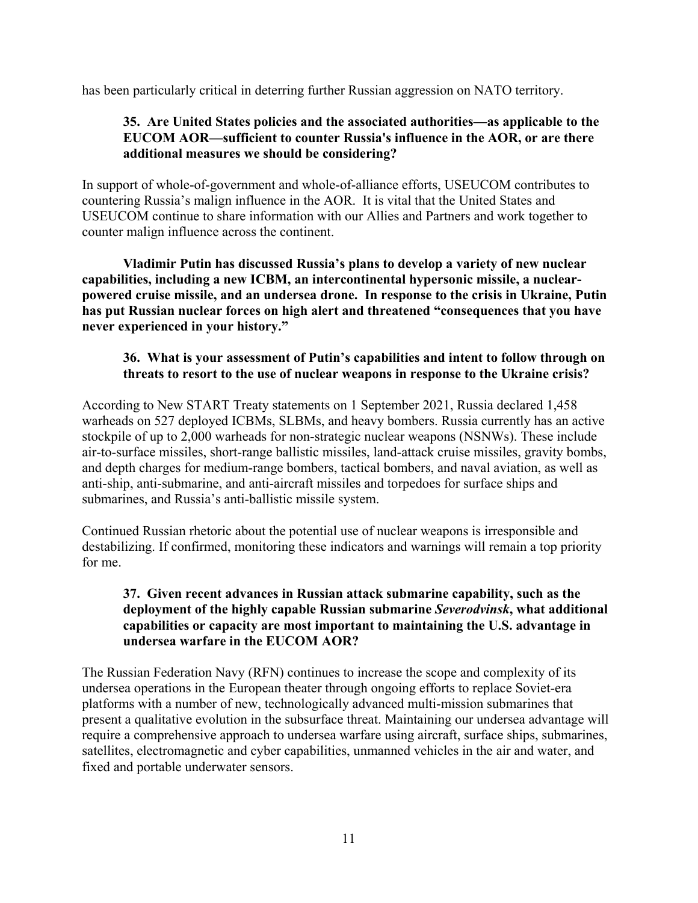has been particularly critical in deterring further Russian aggression on NATO territory.

# **35. Are United States policies and the associated authorities—as applicable to the EUCOM AOR—sufficient to counter Russia's influence in the AOR, or are there additional measures we should be considering?**

In support of whole-of-government and whole-of-alliance efforts, USEUCOM contributes to countering Russia's malign influence in the AOR. It is vital that the United States and USEUCOM continue to share information with our Allies and Partners and work together to counter malign influence across the continent.

**Vladimir Putin has discussed Russia's plans to develop a variety of new nuclear capabilities, including a new ICBM, an intercontinental hypersonic missile, a nuclearpowered cruise missile, and an undersea drone. In response to the crisis in Ukraine, Putin has put Russian nuclear forces on high alert and threatened "consequences that you have never experienced in your history."** 

### **36. What is your assessment of Putin's capabilities and intent to follow through on threats to resort to the use of nuclear weapons in response to the Ukraine crisis?**

According to New START Treaty statements on 1 September 2021, Russia declared 1,458 warheads on 527 deployed ICBMs, SLBMs, and heavy bombers. Russia currently has an active stockpile of up to 2,000 warheads for non-strategic nuclear weapons (NSNWs). These include air-to-surface missiles, short-range ballistic missiles, land-attack cruise missiles, gravity bombs, and depth charges for medium-range bombers, tactical bombers, and naval aviation, as well as anti-ship, anti-submarine, and anti-aircraft missiles and torpedoes for surface ships and submarines, and Russia's anti-ballistic missile system.

Continued Russian rhetoric about the potential use of nuclear weapons is irresponsible and destabilizing. If confirmed, monitoring these indicators and warnings will remain a top priority for me.

# **37. Given recent advances in Russian attack submarine capability, such as the deployment of the highly capable Russian submarine** *Severodvinsk***, what additional capabilities or capacity are most important to maintaining the U.S. advantage in undersea warfare in the EUCOM AOR?**

The Russian Federation Navy (RFN) continues to increase the scope and complexity of its undersea operations in the European theater through ongoing efforts to replace Soviet-era platforms with a number of new, technologically advanced multi-mission submarines that present a qualitative evolution in the subsurface threat. Maintaining our undersea advantage will require a comprehensive approach to undersea warfare using aircraft, surface ships, submarines, satellites, electromagnetic and cyber capabilities, unmanned vehicles in the air and water, and fixed and portable underwater sensors.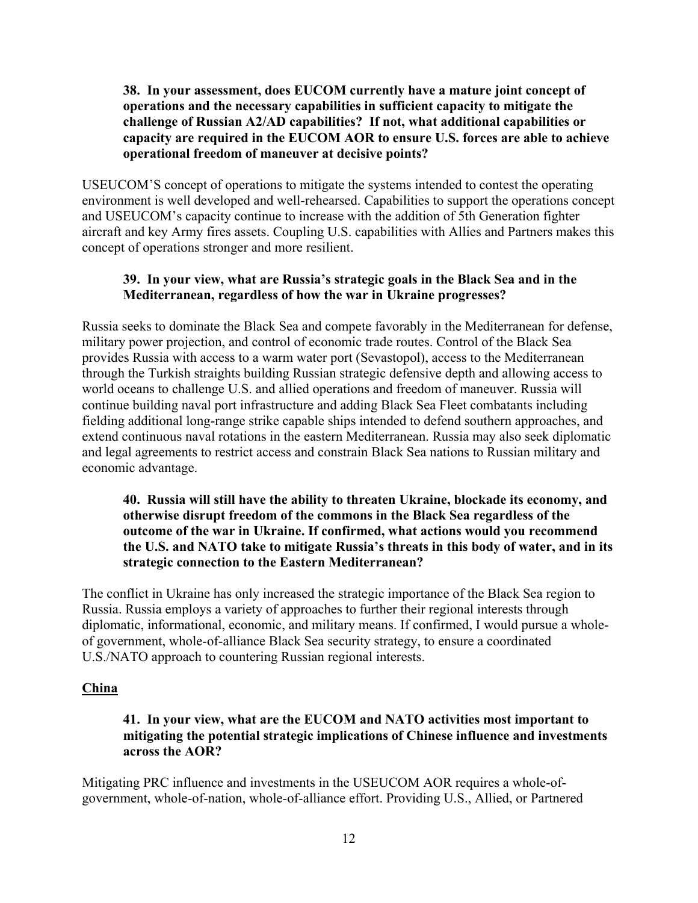#### **38. In your assessment, does EUCOM currently have a mature joint concept of operations and the necessary capabilities in sufficient capacity to mitigate the challenge of Russian A2/AD capabilities? If not, what additional capabilities or capacity are required in the EUCOM AOR to ensure U.S. forces are able to achieve operational freedom of maneuver at decisive points?**

USEUCOM'S concept of operations to mitigate the systems intended to contest the operating environment is well developed and well-rehearsed. Capabilities to support the operations concept and USEUCOM's capacity continue to increase with the addition of 5th Generation fighter aircraft and key Army fires assets. Coupling U.S. capabilities with Allies and Partners makes this concept of operations stronger and more resilient.

#### **39. In your view, what are Russia's strategic goals in the Black Sea and in the Mediterranean, regardless of how the war in Ukraine progresses?**

Russia seeks to dominate the Black Sea and compete favorably in the Mediterranean for defense, military power projection, and control of economic trade routes. Control of the Black Sea provides Russia with access to a warm water port (Sevastopol), access to the Mediterranean through the Turkish straights building Russian strategic defensive depth and allowing access to world oceans to challenge U.S. and allied operations and freedom of maneuver. Russia will continue building naval port infrastructure and adding Black Sea Fleet combatants including fielding additional long-range strike capable ships intended to defend southern approaches, and extend continuous naval rotations in the eastern Mediterranean. Russia may also seek diplomatic and legal agreements to restrict access and constrain Black Sea nations to Russian military and economic advantage.

### **40. Russia will still have the ability to threaten Ukraine, blockade its economy, and otherwise disrupt freedom of the commons in the Black Sea regardless of the outcome of the war in Ukraine. If confirmed, what actions would you recommend the U.S. and NATO take to mitigate Russia's threats in this body of water, and in its strategic connection to the Eastern Mediterranean?**

The conflict in Ukraine has only increased the strategic importance of the Black Sea region to Russia. Russia employs a variety of approaches to further their regional interests through diplomatic, informational, economic, and military means. If confirmed, I would pursue a wholeof government, whole-of-alliance Black Sea security strategy, to ensure a coordinated U.S./NATO approach to countering Russian regional interests.

#### **China**

# **41. In your view, what are the EUCOM and NATO activities most important to mitigating the potential strategic implications of Chinese influence and investments across the AOR?**

Mitigating PRC influence and investments in the USEUCOM AOR requires a whole-ofgovernment, whole-of-nation, whole-of-alliance effort. Providing U.S., Allied, or Partnered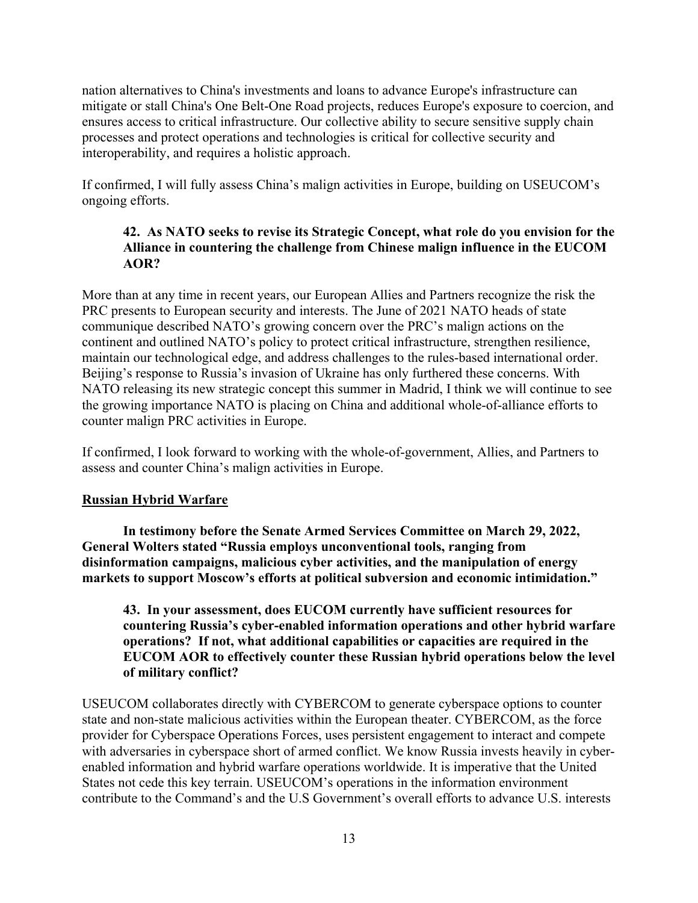nation alternatives to China's investments and loans to advance Europe's infrastructure can mitigate or stall China's One Belt-One Road projects, reduces Europe's exposure to coercion, and ensures access to critical infrastructure. Our collective ability to secure sensitive supply chain processes and protect operations and technologies is critical for collective security and interoperability, and requires a holistic approach.

If confirmed, I will fully assess China's malign activities in Europe, building on USEUCOM's ongoing efforts.

# **42. As NATO seeks to revise its Strategic Concept, what role do you envision for the Alliance in countering the challenge from Chinese malign influence in the EUCOM AOR?**

More than at any time in recent years, our European Allies and Partners recognize the risk the PRC presents to European security and interests. The June of 2021 NATO heads of state communique described NATO's growing concern over the PRC's malign actions on the continent and outlined NATO's policy to protect critical infrastructure, strengthen resilience, maintain our technological edge, and address challenges to the rules-based international order. Beijing's response to Russia's invasion of Ukraine has only furthered these concerns. With NATO releasing its new strategic concept this summer in Madrid, I think we will continue to see the growing importance NATO is placing on China and additional whole-of-alliance efforts to counter malign PRC activities in Europe.

If confirmed, I look forward to working with the whole-of-government, Allies, and Partners to assess and counter China's malign activities in Europe.

# **Russian Hybrid Warfare**

**In testimony before the Senate Armed Services Committee on March 29, 2022, General Wolters stated "Russia employs unconventional tools, ranging from disinformation campaigns, malicious cyber activities, and the manipulation of energy markets to support Moscow's efforts at political subversion and economic intimidation."**

**43. In your assessment, does EUCOM currently have sufficient resources for countering Russia's cyber-enabled information operations and other hybrid warfare operations? If not, what additional capabilities or capacities are required in the EUCOM AOR to effectively counter these Russian hybrid operations below the level of military conflict?** 

USEUCOM collaborates directly with CYBERCOM to generate cyberspace options to counter state and non-state malicious activities within the European theater. CYBERCOM, as the force provider for Cyberspace Operations Forces, uses persistent engagement to interact and compete with adversaries in cyberspace short of armed conflict. We know Russia invests heavily in cyberenabled information and hybrid warfare operations worldwide. It is imperative that the United States not cede this key terrain. USEUCOM's operations in the information environment contribute to the Command's and the U.S Government's overall efforts to advance U.S. interests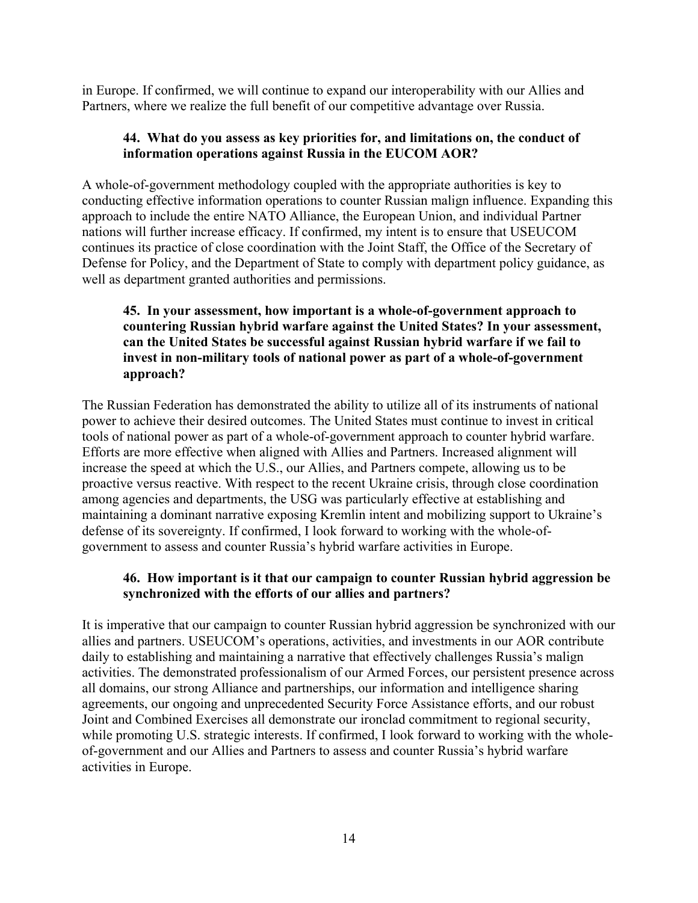in Europe. If confirmed, we will continue to expand our interoperability with our Allies and Partners, where we realize the full benefit of our competitive advantage over Russia.

#### **44. What do you assess as key priorities for, and limitations on, the conduct of information operations against Russia in the EUCOM AOR?**

A whole-of-government methodology coupled with the appropriate authorities is key to conducting effective information operations to counter Russian malign influence. Expanding this approach to include the entire NATO Alliance, the European Union, and individual Partner nations will further increase efficacy. If confirmed, my intent is to ensure that USEUCOM continues its practice of close coordination with the Joint Staff, the Office of the Secretary of Defense for Policy, and the Department of State to comply with department policy guidance, as well as department granted authorities and permissions.

# **45. In your assessment, how important is a whole-of-government approach to countering Russian hybrid warfare against the United States? In your assessment, can the United States be successful against Russian hybrid warfare if we fail to invest in non-military tools of national power as part of a whole-of-government approach?**

The Russian Federation has demonstrated the ability to utilize all of its instruments of national power to achieve their desired outcomes. The United States must continue to invest in critical tools of national power as part of a whole-of-government approach to counter hybrid warfare. Efforts are more effective when aligned with Allies and Partners. Increased alignment will increase the speed at which the U.S., our Allies, and Partners compete, allowing us to be proactive versus reactive. With respect to the recent Ukraine crisis, through close coordination among agencies and departments, the USG was particularly effective at establishing and maintaining a dominant narrative exposing Kremlin intent and mobilizing support to Ukraine's defense of its sovereignty. If confirmed, I look forward to working with the whole-ofgovernment to assess and counter Russia's hybrid warfare activities in Europe.

# **46. How important is it that our campaign to counter Russian hybrid aggression be synchronized with the efforts of our allies and partners?**

It is imperative that our campaign to counter Russian hybrid aggression be synchronized with our allies and partners. USEUCOM's operations, activities, and investments in our AOR contribute daily to establishing and maintaining a narrative that effectively challenges Russia's malign activities. The demonstrated professionalism of our Armed Forces, our persistent presence across all domains, our strong Alliance and partnerships, our information and intelligence sharing agreements, our ongoing and unprecedented Security Force Assistance efforts, and our robust Joint and Combined Exercises all demonstrate our ironclad commitment to regional security, while promoting U.S. strategic interests. If confirmed, I look forward to working with the wholeof-government and our Allies and Partners to assess and counter Russia's hybrid warfare activities in Europe.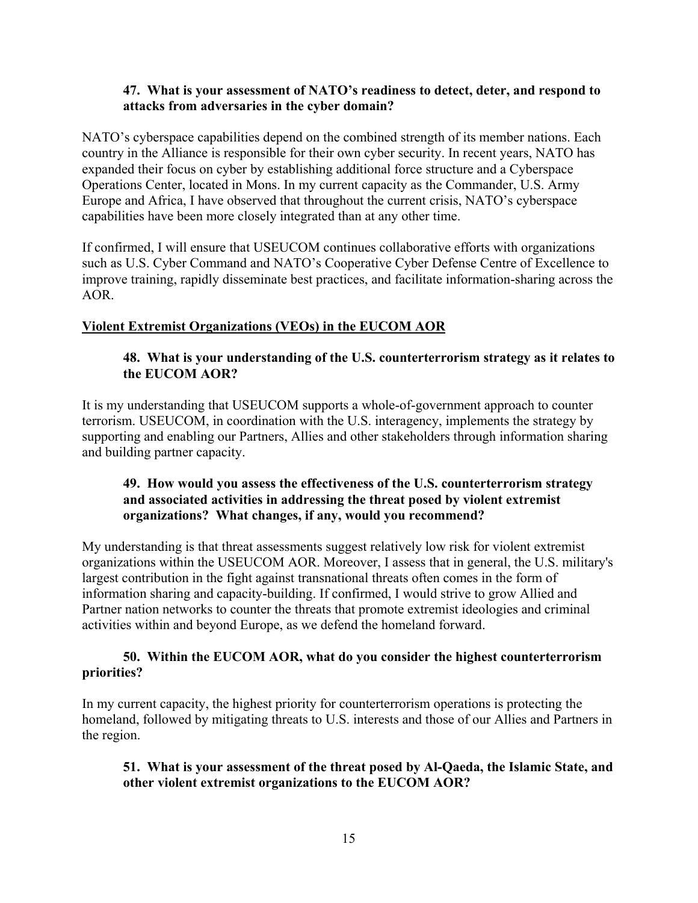#### **47. What is your assessment of NATO's readiness to detect, deter, and respond to attacks from adversaries in the cyber domain?**

NATO's cyberspace capabilities depend on the combined strength of its member nations. Each country in the Alliance is responsible for their own cyber security. In recent years, NATO has expanded their focus on cyber by establishing additional force structure and a Cyberspace Operations Center, located in Mons. In my current capacity as the Commander, U.S. Army Europe and Africa, I have observed that throughout the current crisis, NATO's cyberspace capabilities have been more closely integrated than at any other time.

If confirmed, I will ensure that USEUCOM continues collaborative efforts with organizations such as U.S. Cyber Command and NATO's Cooperative Cyber Defense Centre of Excellence to improve training, rapidly disseminate best practices, and facilitate information-sharing across the AOR.

# **Violent Extremist Organizations (VEOs) in the EUCOM AOR**

#### **48. What is your understanding of the U.S. counterterrorism strategy as it relates to the EUCOM AOR?**

It is my understanding that USEUCOM supports a whole-of-government approach to counter terrorism. USEUCOM, in coordination with the U.S. interagency, implements the strategy by supporting and enabling our Partners, Allies and other stakeholders through information sharing and building partner capacity.

### **49. How would you assess the effectiveness of the U.S. counterterrorism strategy and associated activities in addressing the threat posed by violent extremist organizations? What changes, if any, would you recommend?**

My understanding is that threat assessments suggest relatively low risk for violent extremist organizations within the USEUCOM AOR. Moreover, I assess that in general, the U.S. military's largest contribution in the fight against transnational threats often comes in the form of information sharing and capacity-building. If confirmed, I would strive to grow Allied and Partner nation networks to counter the threats that promote extremist ideologies and criminal activities within and beyond Europe, as we defend the homeland forward.

#### **50. Within the EUCOM AOR, what do you consider the highest counterterrorism priorities?**

In my current capacity, the highest priority for counterterrorism operations is protecting the homeland, followed by mitigating threats to U.S. interests and those of our Allies and Partners in the region.

#### **51. What is your assessment of the threat posed by Al-Qaeda, the Islamic State, and other violent extremist organizations to the EUCOM AOR?**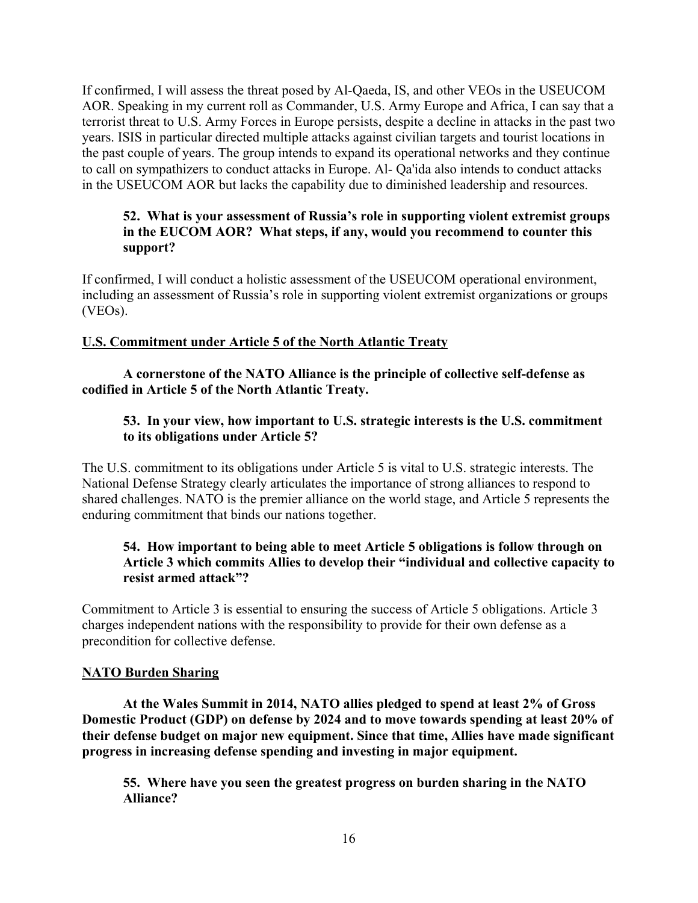If confirmed, I will assess the threat posed by Al-Qaeda, IS, and other VEOs in the USEUCOM AOR. Speaking in my current roll as Commander, U.S. Army Europe and Africa, I can say that a terrorist threat to U.S. Army Forces in Europe persists, despite a decline in attacks in the past two years. ISIS in particular directed multiple attacks against civilian targets and tourist locations in the past couple of years. The group intends to expand its operational networks and they continue to call on sympathizers to conduct attacks in Europe. Al- Qa'ida also intends to conduct attacks in the USEUCOM AOR but lacks the capability due to diminished leadership and resources.

### **52. What is your assessment of Russia's role in supporting violent extremist groups in the EUCOM AOR? What steps, if any, would you recommend to counter this support?**

If confirmed, I will conduct a holistic assessment of the USEUCOM operational environment, including an assessment of Russia's role in supporting violent extremist organizations or groups (VEOs).

# **U.S. Commitment under Article 5 of the North Atlantic Treaty**

**A cornerstone of the NATO Alliance is the principle of collective self-defense as codified in Article 5 of the North Atlantic Treaty.** 

# **53. In your view, how important to U.S. strategic interests is the U.S. commitment to its obligations under Article 5?**

The U.S. commitment to its obligations under Article 5 is vital to U.S. strategic interests. The National Defense Strategy clearly articulates the importance of strong alliances to respond to shared challenges. NATO is the premier alliance on the world stage, and Article 5 represents the enduring commitment that binds our nations together.

# **54. How important to being able to meet Article 5 obligations is follow through on Article 3 which commits Allies to develop their "individual and collective capacity to resist armed attack"?**

Commitment to Article 3 is essential to ensuring the success of Article 5 obligations. Article 3 charges independent nations with the responsibility to provide for their own defense as a precondition for collective defense.

# **NATO Burden Sharing**

**At the Wales Summit in 2014, NATO allies pledged to spend at least 2% of Gross Domestic Product (GDP) on defense by 2024 and to move towards spending at least 20% of their defense budget on major new equipment. Since that time, Allies have made significant progress in increasing defense spending and investing in major equipment.** 

**55. Where have you seen the greatest progress on burden sharing in the NATO Alliance?**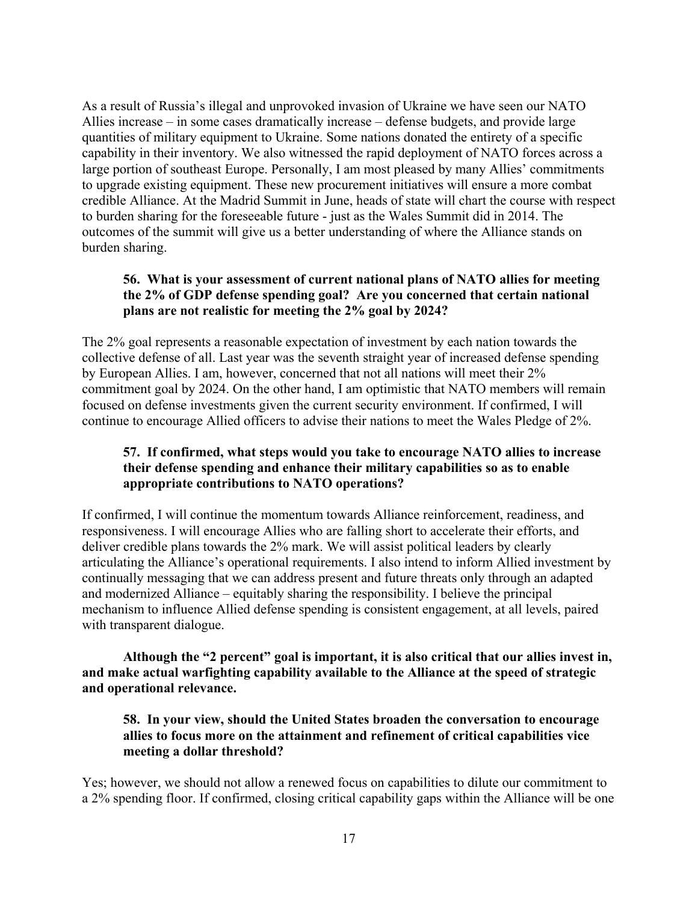As a result of Russia's illegal and unprovoked invasion of Ukraine we have seen our NATO Allies increase – in some cases dramatically increase – defense budgets, and provide large quantities of military equipment to Ukraine. Some nations donated the entirety of a specific capability in their inventory. We also witnessed the rapid deployment of NATO forces across a large portion of southeast Europe. Personally, I am most pleased by many Allies' commitments to upgrade existing equipment. These new procurement initiatives will ensure a more combat credible Alliance. At the Madrid Summit in June, heads of state will chart the course with respect to burden sharing for the foreseeable future - just as the Wales Summit did in 2014. The outcomes of the summit will give us a better understanding of where the Alliance stands on burden sharing.

# **56. What is your assessment of current national plans of NATO allies for meeting the 2% of GDP defense spending goal? Are you concerned that certain national plans are not realistic for meeting the 2% goal by 2024?**

The 2% goal represents a reasonable expectation of investment by each nation towards the collective defense of all. Last year was the seventh straight year of increased defense spending by European Allies. I am, however, concerned that not all nations will meet their 2% commitment goal by 2024. On the other hand, I am optimistic that NATO members will remain focused on defense investments given the current security environment. If confirmed, I will continue to encourage Allied officers to advise their nations to meet the Wales Pledge of 2%.

# **57. If confirmed, what steps would you take to encourage NATO allies to increase their defense spending and enhance their military capabilities so as to enable appropriate contributions to NATO operations?**

If confirmed, I will continue the momentum towards Alliance reinforcement, readiness, and responsiveness. I will encourage Allies who are falling short to accelerate their efforts, and deliver credible plans towards the 2% mark. We will assist political leaders by clearly articulating the Alliance's operational requirements. I also intend to inform Allied investment by continually messaging that we can address present and future threats only through an adapted and modernized Alliance – equitably sharing the responsibility. I believe the principal mechanism to influence Allied defense spending is consistent engagement, at all levels, paired with transparent dialogue.

**Although the "2 percent" goal is important, it is also critical that our allies invest in, and make actual warfighting capability available to the Alliance at the speed of strategic and operational relevance.** 

**58. In your view, should the United States broaden the conversation to encourage allies to focus more on the attainment and refinement of critical capabilities vice meeting a dollar threshold?**

Yes; however, we should not allow a renewed focus on capabilities to dilute our commitment to a 2% spending floor. If confirmed, closing critical capability gaps within the Alliance will be one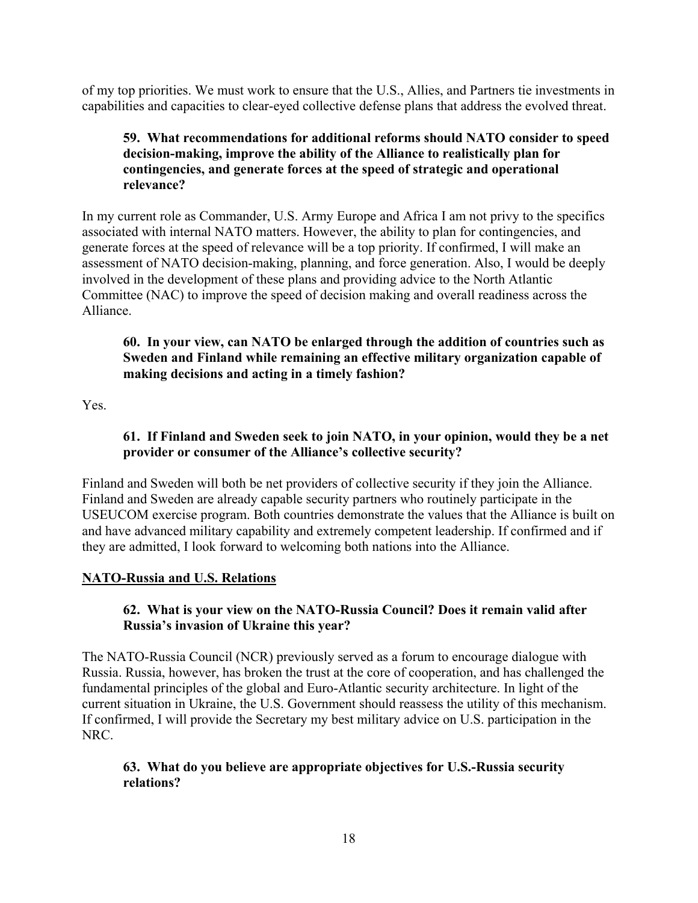of my top priorities. We must work to ensure that the U.S., Allies, and Partners tie investments in capabilities and capacities to clear-eyed collective defense plans that address the evolved threat.

# **59. What recommendations for additional reforms should NATO consider to speed decision-making, improve the ability of the Alliance to realistically plan for contingencies, and generate forces at the speed of strategic and operational relevance?**

In my current role as Commander, U.S. Army Europe and Africa I am not privy to the specifics associated with internal NATO matters. However, the ability to plan for contingencies, and generate forces at the speed of relevance will be a top priority. If confirmed, I will make an assessment of NATO decision-making, planning, and force generation. Also, I would be deeply involved in the development of these plans and providing advice to the North Atlantic Committee (NAC) to improve the speed of decision making and overall readiness across the Alliance.

# **60. In your view, can NATO be enlarged through the addition of countries such as Sweden and Finland while remaining an effective military organization capable of making decisions and acting in a timely fashion?**

Yes.

### **61. If Finland and Sweden seek to join NATO, in your opinion, would they be a net provider or consumer of the Alliance's collective security?**

Finland and Sweden will both be net providers of collective security if they join the Alliance. Finland and Sweden are already capable security partners who routinely participate in the USEUCOM exercise program. Both countries demonstrate the values that the Alliance is built on and have advanced military capability and extremely competent leadership. If confirmed and if they are admitted, I look forward to welcoming both nations into the Alliance.

# **NATO-Russia and U.S. Relations**

# **62. What is your view on the NATO-Russia Council? Does it remain valid after Russia's invasion of Ukraine this year?**

The NATO-Russia Council (NCR) previously served as a forum to encourage dialogue with Russia. Russia, however, has broken the trust at the core of cooperation, and has challenged the fundamental principles of the global and Euro-Atlantic security architecture. In light of the current situation in Ukraine, the U.S. Government should reassess the utility of this mechanism. If confirmed, I will provide the Secretary my best military advice on U.S. participation in the NRC.

# **63. What do you believe are appropriate objectives for U.S.-Russia security relations?**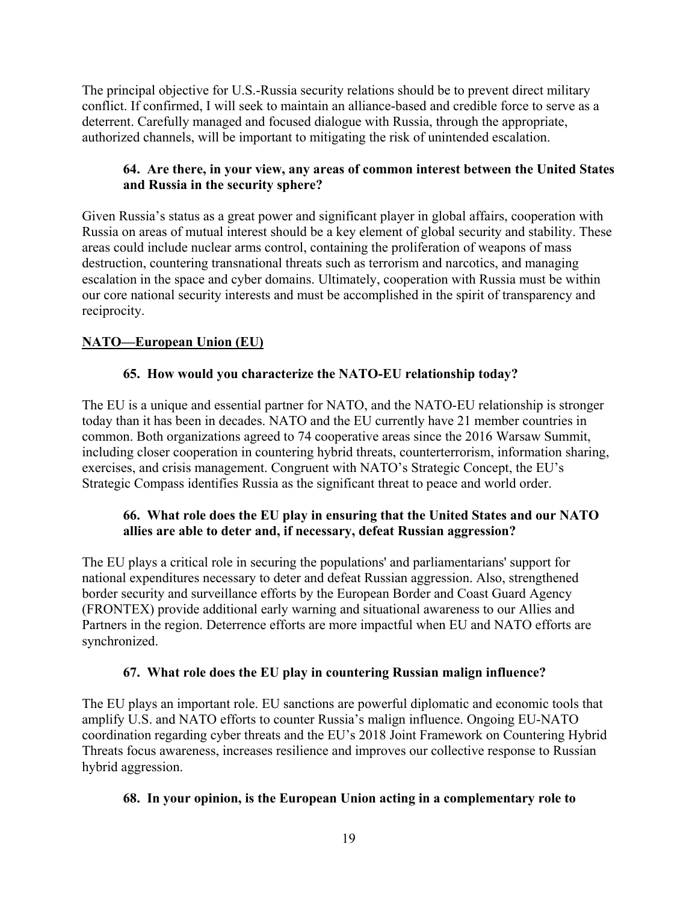The principal objective for U.S.-Russia security relations should be to prevent direct military conflict. If confirmed, I will seek to maintain an alliance-based and credible force to serve as a deterrent. Carefully managed and focused dialogue with Russia, through the appropriate, authorized channels, will be important to mitigating the risk of unintended escalation.

# **64. Are there, in your view, any areas of common interest between the United States and Russia in the security sphere?**

Given Russia's status as a great power and significant player in global affairs, cooperation with Russia on areas of mutual interest should be a key element of global security and stability. These areas could include nuclear arms control, containing the proliferation of weapons of mass destruction, countering transnational threats such as terrorism and narcotics, and managing escalation in the space and cyber domains. Ultimately, cooperation with Russia must be within our core national security interests and must be accomplished in the spirit of transparency and reciprocity.

# **NATO—European Union (EU)**

# **65. How would you characterize the NATO-EU relationship today?**

The EU is a unique and essential partner for NATO, and the NATO-EU relationship is stronger today than it has been in decades. NATO and the EU currently have 21 member countries in common. Both organizations agreed to 74 cooperative areas since the 2016 Warsaw Summit, including closer cooperation in countering hybrid threats, counterterrorism, information sharing, exercises, and crisis management. Congruent with NATO's Strategic Concept, the EU's Strategic Compass identifies Russia as the significant threat to peace and world order.

#### **66. What role does the EU play in ensuring that the United States and our NATO allies are able to deter and, if necessary, defeat Russian aggression?**

The EU plays a critical role in securing the populations' and parliamentarians' support for national expenditures necessary to deter and defeat Russian aggression. Also, strengthened border security and surveillance efforts by the European Border and Coast Guard Agency (FRONTEX) provide additional early warning and situational awareness to our Allies and Partners in the region. Deterrence efforts are more impactful when EU and NATO efforts are synchronized.

# **67. What role does the EU play in countering Russian malign influence?**

The EU plays an important role. EU sanctions are powerful diplomatic and economic tools that amplify U.S. and NATO efforts to counter Russia's malign influence. Ongoing EU-NATO coordination regarding cyber threats and the EU's 2018 Joint Framework on Countering Hybrid Threats focus awareness, increases resilience and improves our collective response to Russian hybrid aggression.

# **68. In your opinion, is the European Union acting in a complementary role to**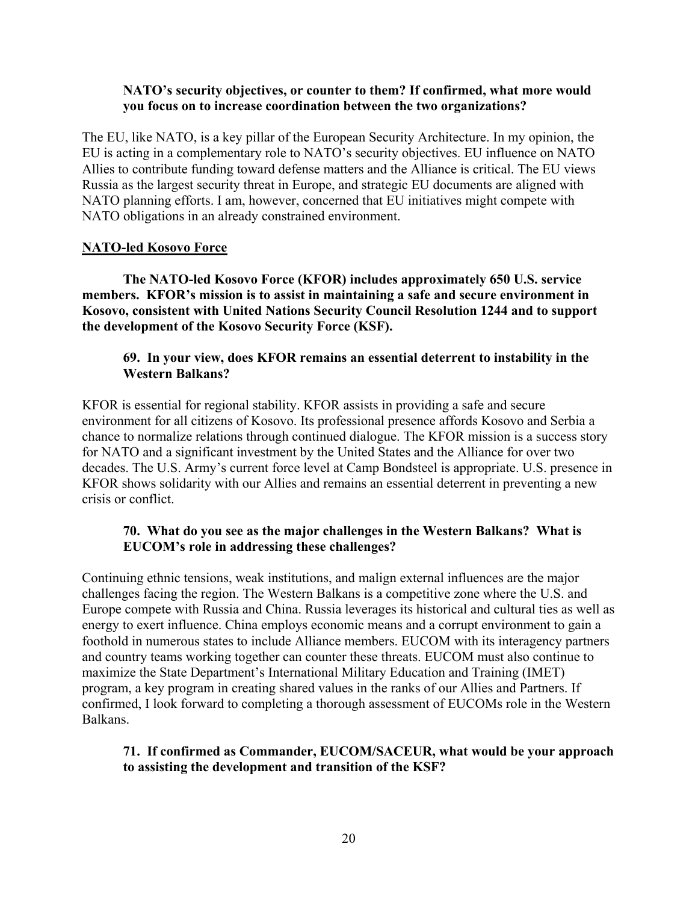#### **NATO's security objectives, or counter to them? If confirmed, what more would you focus on to increase coordination between the two organizations?**

The EU, like NATO, is a key pillar of the European Security Architecture. In my opinion, the EU is acting in a complementary role to NATO's security objectives. EU influence on NATO Allies to contribute funding toward defense matters and the Alliance is critical. The EU views Russia as the largest security threat in Europe, and strategic EU documents are aligned with NATO planning efforts. I am, however, concerned that EU initiatives might compete with NATO obligations in an already constrained environment.

#### **NATO-led Kosovo Force**

**The NATO-led Kosovo Force (KFOR) includes approximately 650 U.S. service members. KFOR's mission is to assist in maintaining a safe and secure environment in Kosovo, consistent with United Nations Security Council Resolution 1244 and to support the development of the Kosovo Security Force (KSF).** 

#### **69. In your view, does KFOR remains an essential deterrent to instability in the Western Balkans?**

KFOR is essential for regional stability. KFOR assists in providing a safe and secure environment for all citizens of Kosovo. Its professional presence affords Kosovo and Serbia a chance to normalize relations through continued dialogue. The KFOR mission is a success story for NATO and a significant investment by the United States and the Alliance for over two decades. The U.S. Army's current force level at Camp Bondsteel is appropriate. U.S. presence in KFOR shows solidarity with our Allies and remains an essential deterrent in preventing a new crisis or conflict.

#### **70. What do you see as the major challenges in the Western Balkans? What is EUCOM's role in addressing these challenges?**

Continuing ethnic tensions, weak institutions, and malign external influences are the major challenges facing the region. The Western Balkans is a competitive zone where the U.S. and Europe compete with Russia and China. Russia leverages its historical and cultural ties as well as energy to exert influence. China employs economic means and a corrupt environment to gain a foothold in numerous states to include Alliance members. EUCOM with its interagency partners and country teams working together can counter these threats. EUCOM must also continue to maximize the State Department's International Military Education and Training (IMET) program, a key program in creating shared values in the ranks of our Allies and Partners. If confirmed, I look forward to completing a thorough assessment of EUCOMs role in the Western Balkans.

#### **71. If confirmed as Commander, EUCOM/SACEUR, what would be your approach to assisting the development and transition of the KSF?**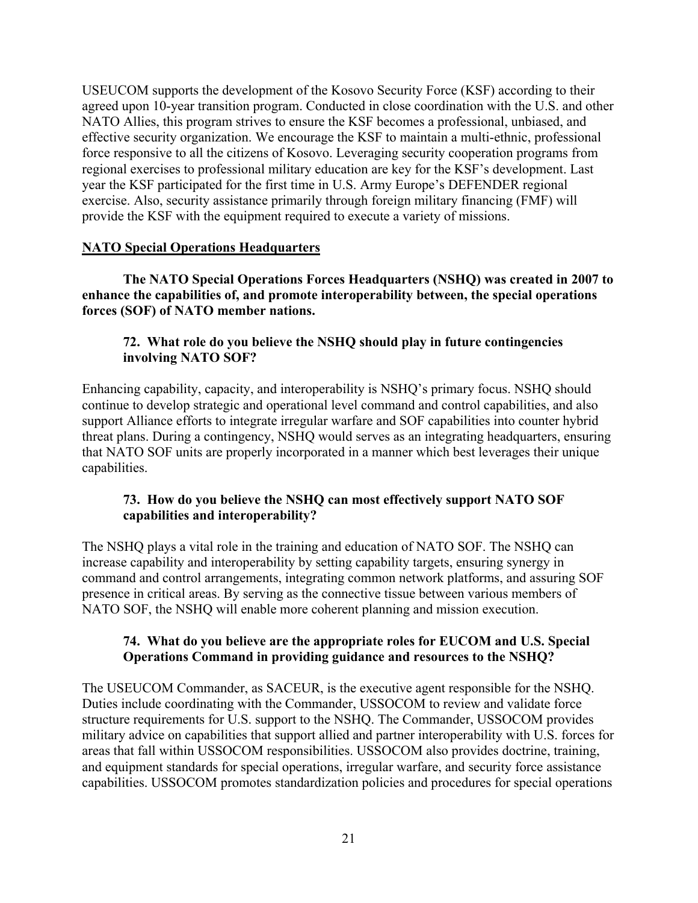USEUCOM supports the development of the Kosovo Security Force (KSF) according to their agreed upon 10-year transition program. Conducted in close coordination with the U.S. and other NATO Allies, this program strives to ensure the KSF becomes a professional, unbiased, and effective security organization. We encourage the KSF to maintain a multi-ethnic, professional force responsive to all the citizens of Kosovo. Leveraging security cooperation programs from regional exercises to professional military education are key for the KSF's development. Last year the KSF participated for the first time in U.S. Army Europe's DEFENDER regional exercise. Also, security assistance primarily through foreign military financing (FMF) will provide the KSF with the equipment required to execute a variety of missions.

#### **NATO Special Operations Headquarters**

**The NATO Special Operations Forces Headquarters (NSHQ) was created in 2007 to enhance the capabilities of, and promote interoperability between, the special operations forces (SOF) of NATO member nations.** 

# **72. What role do you believe the NSHQ should play in future contingencies involving NATO SOF?**

Enhancing capability, capacity, and interoperability is NSHQ's primary focus. NSHQ should continue to develop strategic and operational level command and control capabilities, and also support Alliance efforts to integrate irregular warfare and SOF capabilities into counter hybrid threat plans. During a contingency, NSHQ would serves as an integrating headquarters, ensuring that NATO SOF units are properly incorporated in a manner which best leverages their unique capabilities.

# **73. How do you believe the NSHQ can most effectively support NATO SOF capabilities and interoperability?**

The NSHQ plays a vital role in the training and education of NATO SOF. The NSHQ can increase capability and interoperability by setting capability targets, ensuring synergy in command and control arrangements, integrating common network platforms, and assuring SOF presence in critical areas. By serving as the connective tissue between various members of NATO SOF, the NSHQ will enable more coherent planning and mission execution.

#### **74. What do you believe are the appropriate roles for EUCOM and U.S. Special Operations Command in providing guidance and resources to the NSHQ?**

The USEUCOM Commander, as SACEUR, is the executive agent responsible for the NSHQ. Duties include coordinating with the Commander, USSOCOM to review and validate force structure requirements for U.S. support to the NSHQ. The Commander, USSOCOM provides military advice on capabilities that support allied and partner interoperability with U.S. forces for areas that fall within USSOCOM responsibilities. USSOCOM also provides doctrine, training, and equipment standards for special operations, irregular warfare, and security force assistance capabilities. USSOCOM promotes standardization policies and procedures for special operations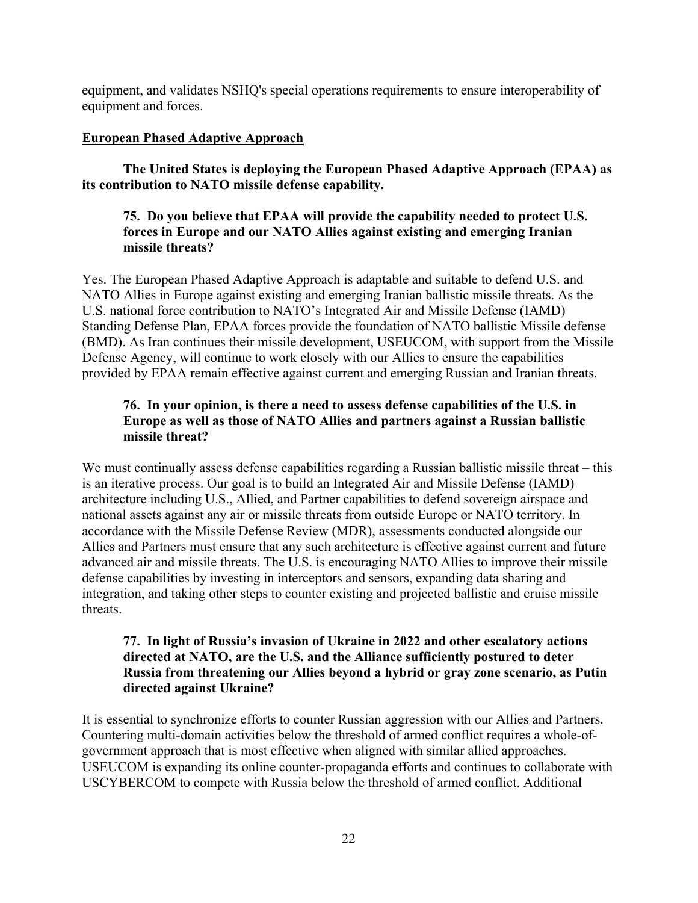equipment, and validates NSHQ's special operations requirements to ensure interoperability of equipment and forces.

### **European Phased Adaptive Approach**

**The United States is deploying the European Phased Adaptive Approach (EPAA) as its contribution to NATO missile defense capability.** 

# **75. Do you believe that EPAA will provide the capability needed to protect U.S. forces in Europe and our NATO Allies against existing and emerging Iranian missile threats?**

Yes. The European Phased Adaptive Approach is adaptable and suitable to defend U.S. and NATO Allies in Europe against existing and emerging Iranian ballistic missile threats. As the U.S. national force contribution to NATO's Integrated Air and Missile Defense (IAMD) Standing Defense Plan, EPAA forces provide the foundation of NATO ballistic Missile defense (BMD). As Iran continues their missile development, USEUCOM, with support from the Missile Defense Agency, will continue to work closely with our Allies to ensure the capabilities provided by EPAA remain effective against current and emerging Russian and Iranian threats.

# **76. In your opinion, is there a need to assess defense capabilities of the U.S. in Europe as well as those of NATO Allies and partners against a Russian ballistic missile threat?**

We must continually assess defense capabilities regarding a Russian ballistic missile threat – this is an iterative process. Our goal is to build an Integrated Air and Missile Defense (IAMD) architecture including U.S., Allied, and Partner capabilities to defend sovereign airspace and national assets against any air or missile threats from outside Europe or NATO territory. In accordance with the Missile Defense Review (MDR), assessments conducted alongside our Allies and Partners must ensure that any such architecture is effective against current and future advanced air and missile threats. The U.S. is encouraging NATO Allies to improve their missile defense capabilities by investing in interceptors and sensors, expanding data sharing and integration, and taking other steps to counter existing and projected ballistic and cruise missile threats.

#### **77. In light of Russia's invasion of Ukraine in 2022 and other escalatory actions directed at NATO, are the U.S. and the Alliance sufficiently postured to deter Russia from threatening our Allies beyond a hybrid or gray zone scenario, as Putin directed against Ukraine?**

It is essential to synchronize efforts to counter Russian aggression with our Allies and Partners. Countering multi-domain activities below the threshold of armed conflict requires a whole-ofgovernment approach that is most effective when aligned with similar allied approaches. USEUCOM is expanding its online counter-propaganda efforts and continues to collaborate with USCYBERCOM to compete with Russia below the threshold of armed conflict. Additional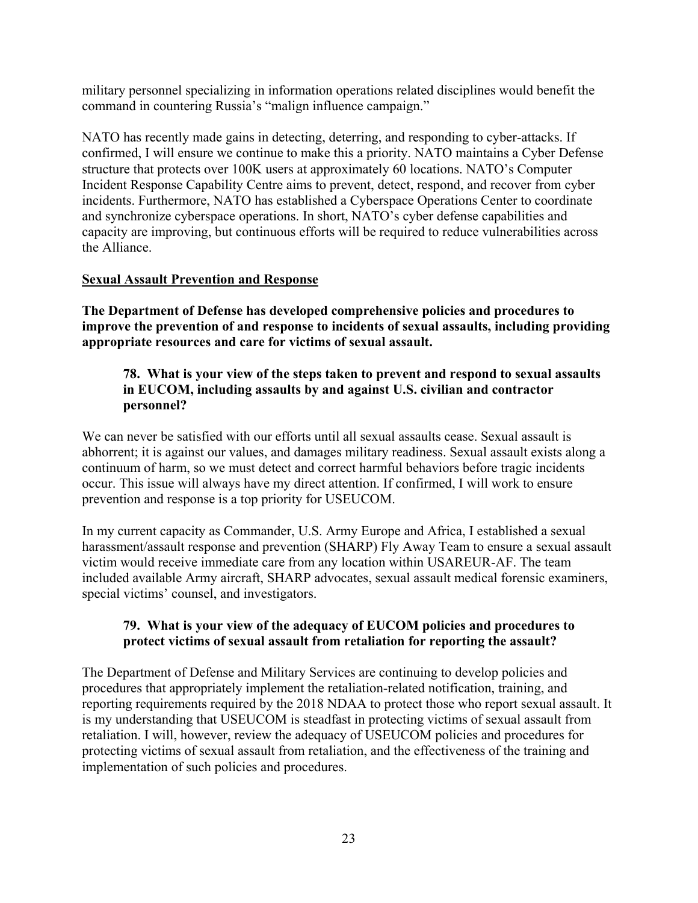military personnel specializing in information operations related disciplines would benefit the command in countering Russia's "malign influence campaign."

NATO has recently made gains in detecting, deterring, and responding to cyber-attacks. If confirmed, I will ensure we continue to make this a priority. NATO maintains a Cyber Defense structure that protects over 100K users at approximately 60 locations. NATO's Computer Incident Response Capability Centre aims to prevent, detect, respond, and recover from cyber incidents. Furthermore, NATO has established a Cyberspace Operations Center to coordinate and synchronize cyberspace operations. In short, NATO's cyber defense capabilities and capacity are improving, but continuous efforts will be required to reduce vulnerabilities across the Alliance.

#### **Sexual Assault Prevention and Response**

**The Department of Defense has developed comprehensive policies and procedures to improve the prevention of and response to incidents of sexual assaults, including providing appropriate resources and care for victims of sexual assault.** 

### **78. What is your view of the steps taken to prevent and respond to sexual assaults in EUCOM, including assaults by and against U.S. civilian and contractor personnel?**

We can never be satisfied with our efforts until all sexual assaults cease. Sexual assault is abhorrent; it is against our values, and damages military readiness. Sexual assault exists along a continuum of harm, so we must detect and correct harmful behaviors before tragic incidents occur. This issue will always have my direct attention. If confirmed, I will work to ensure prevention and response is a top priority for USEUCOM.

In my current capacity as Commander, U.S. Army Europe and Africa, I established a sexual harassment/assault response and prevention (SHARP) Fly Away Team to ensure a sexual assault victim would receive immediate care from any location within USAREUR-AF. The team included available Army aircraft, SHARP advocates, sexual assault medical forensic examiners, special victims' counsel, and investigators.

#### **79. What is your view of the adequacy of EUCOM policies and procedures to protect victims of sexual assault from retaliation for reporting the assault?**

The Department of Defense and Military Services are continuing to develop policies and procedures that appropriately implement the retaliation-related notification, training, and reporting requirements required by the 2018 NDAA to protect those who report sexual assault. It is my understanding that USEUCOM is steadfast in protecting victims of sexual assault from retaliation. I will, however, review the adequacy of USEUCOM policies and procedures for protecting victims of sexual assault from retaliation, and the effectiveness of the training and implementation of such policies and procedures.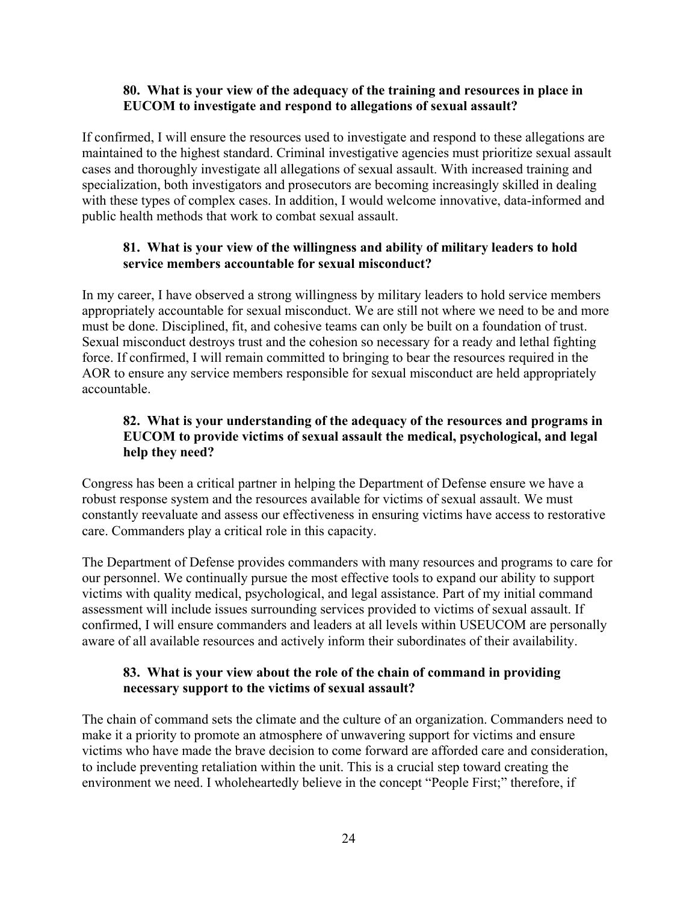#### **80. What is your view of the adequacy of the training and resources in place in EUCOM to investigate and respond to allegations of sexual assault?**

If confirmed, I will ensure the resources used to investigate and respond to these allegations are maintained to the highest standard. Criminal investigative agencies must prioritize sexual assault cases and thoroughly investigate all allegations of sexual assault. With increased training and specialization, both investigators and prosecutors are becoming increasingly skilled in dealing with these types of complex cases. In addition, I would welcome innovative, data-informed and public health methods that work to combat sexual assault.

### **81. What is your view of the willingness and ability of military leaders to hold service members accountable for sexual misconduct?**

In my career, I have observed a strong willingness by military leaders to hold service members appropriately accountable for sexual misconduct. We are still not where we need to be and more must be done. Disciplined, fit, and cohesive teams can only be built on a foundation of trust. Sexual misconduct destroys trust and the cohesion so necessary for a ready and lethal fighting force. If confirmed, I will remain committed to bringing to bear the resources required in the AOR to ensure any service members responsible for sexual misconduct are held appropriately accountable.

# **82. What is your understanding of the adequacy of the resources and programs in EUCOM to provide victims of sexual assault the medical, psychological, and legal help they need?**

Congress has been a critical partner in helping the Department of Defense ensure we have a robust response system and the resources available for victims of sexual assault. We must constantly reevaluate and assess our effectiveness in ensuring victims have access to restorative care. Commanders play a critical role in this capacity.

The Department of Defense provides commanders with many resources and programs to care for our personnel. We continually pursue the most effective tools to expand our ability to support victims with quality medical, psychological, and legal assistance. Part of my initial command assessment will include issues surrounding services provided to victims of sexual assault. If confirmed, I will ensure commanders and leaders at all levels within USEUCOM are personally aware of all available resources and actively inform their subordinates of their availability.

#### **83. What is your view about the role of the chain of command in providing necessary support to the victims of sexual assault?**

The chain of command sets the climate and the culture of an organization. Commanders need to make it a priority to promote an atmosphere of unwavering support for victims and ensure victims who have made the brave decision to come forward are afforded care and consideration, to include preventing retaliation within the unit. This is a crucial step toward creating the environment we need. I wholeheartedly believe in the concept "People First;" therefore, if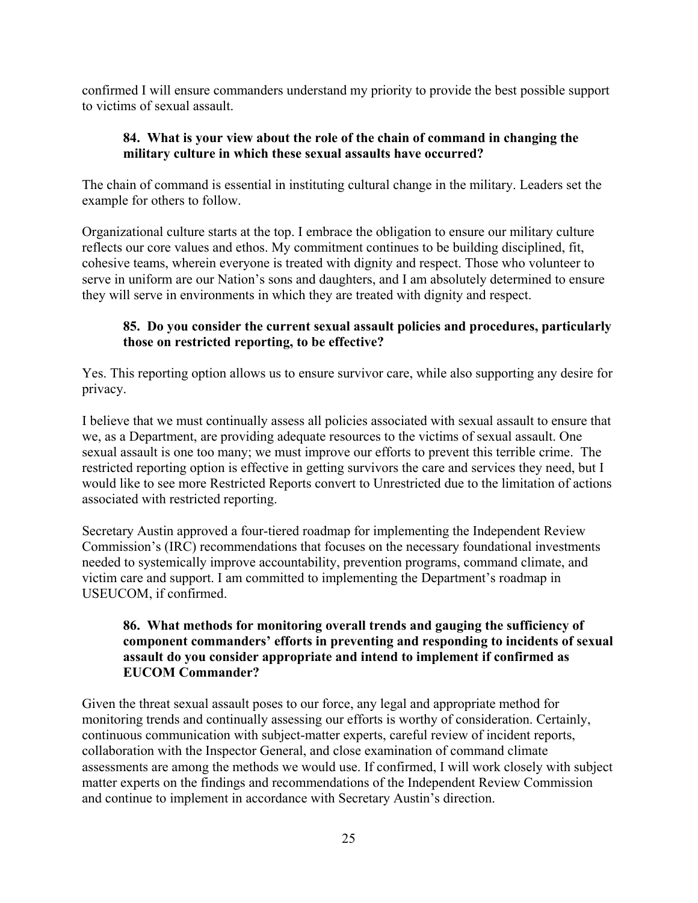confirmed I will ensure commanders understand my priority to provide the best possible support to victims of sexual assault.

### **84. What is your view about the role of the chain of command in changing the military culture in which these sexual assaults have occurred?**

The chain of command is essential in instituting cultural change in the military. Leaders set the example for others to follow.

Organizational culture starts at the top. I embrace the obligation to ensure our military culture reflects our core values and ethos. My commitment continues to be building disciplined, fit, cohesive teams, wherein everyone is treated with dignity and respect. Those who volunteer to serve in uniform are our Nation's sons and daughters, and I am absolutely determined to ensure they will serve in environments in which they are treated with dignity and respect.

# **85. Do you consider the current sexual assault policies and procedures, particularly those on restricted reporting, to be effective?**

Yes. This reporting option allows us to ensure survivor care, while also supporting any desire for privacy.

I believe that we must continually assess all policies associated with sexual assault to ensure that we, as a Department, are providing adequate resources to the victims of sexual assault. One sexual assault is one too many; we must improve our efforts to prevent this terrible crime. The restricted reporting option is effective in getting survivors the care and services they need, but I would like to see more Restricted Reports convert to Unrestricted due to the limitation of actions associated with restricted reporting.

Secretary Austin approved a four-tiered roadmap for implementing the Independent Review Commission's (IRC) recommendations that focuses on the necessary foundational investments needed to systemically improve accountability, prevention programs, command climate, and victim care and support. I am committed to implementing the Department's roadmap in USEUCOM, if confirmed.

# **86. What methods for monitoring overall trends and gauging the sufficiency of component commanders' efforts in preventing and responding to incidents of sexual assault do you consider appropriate and intend to implement if confirmed as EUCOM Commander?**

Given the threat sexual assault poses to our force, any legal and appropriate method for monitoring trends and continually assessing our efforts is worthy of consideration. Certainly, continuous communication with subject-matter experts, careful review of incident reports, collaboration with the Inspector General, and close examination of command climate assessments are among the methods we would use. If confirmed, I will work closely with subject matter experts on the findings and recommendations of the Independent Review Commission and continue to implement in accordance with Secretary Austin's direction.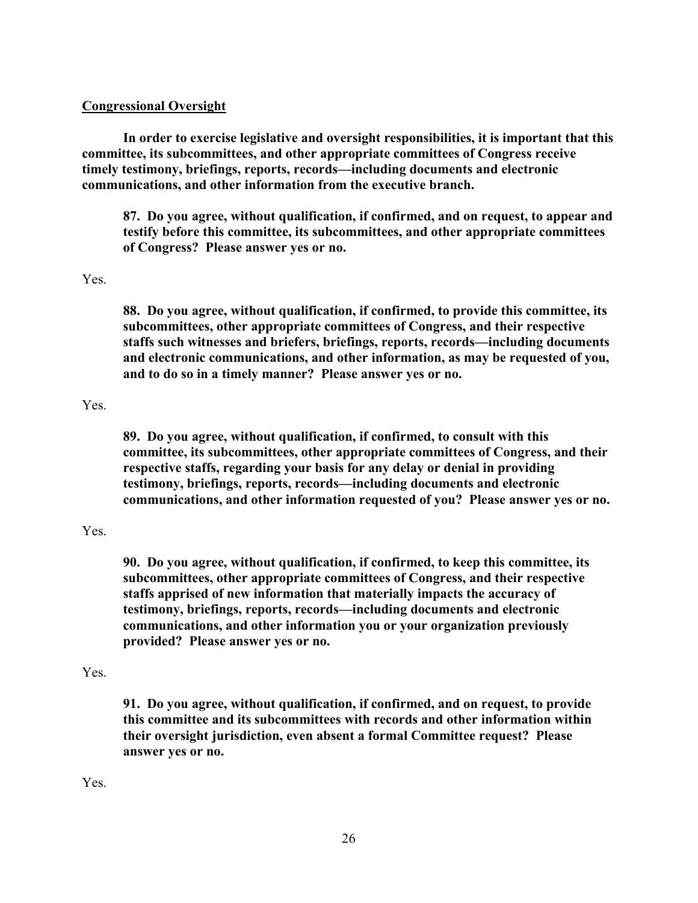#### **Congressional Oversight**

**In order to exercise legislative and oversight responsibilities, it is important that this committee, its subcommittees, and other appropriate committees of Congress receive timely testimony, briefings, reports, records—including documents and electronic communications, and other information from the executive branch.**

**87. Do you agree, without qualification, if confirmed, and on request, to appear and testify before this committee, its subcommittees, and other appropriate committees of Congress? Please answer yes or no.** 

#### Yes.

**88. Do you agree, without qualification, if confirmed, to provide this committee, its subcommittees, other appropriate committees of Congress, and their respective staffs such witnesses and briefers, briefings, reports, records—including documents and electronic communications, and other information, as may be requested of you, and to do so in a timely manner? Please answer yes or no.** 

#### Yes.

**89. Do you agree, without qualification, if confirmed, to consult with this committee, its subcommittees, other appropriate committees of Congress, and their respective staffs, regarding your basis for any delay or denial in providing testimony, briefings, reports, records—including documents and electronic communications, and other information requested of you? Please answer yes or no.**

#### Yes.

**90. Do you agree, without qualification, if confirmed, to keep this committee, its subcommittees, other appropriate committees of Congress, and their respective staffs apprised of new information that materially impacts the accuracy of testimony, briefings, reports, records—including documents and electronic communications, and other information you or your organization previously provided? Please answer yes or no.**

#### Yes.

**91. Do you agree, without qualification, if confirmed, and on request, to provide this committee and its subcommittees with records and other information within their oversight jurisdiction, even absent a formal Committee request? Please answer yes or no.**

Yes.